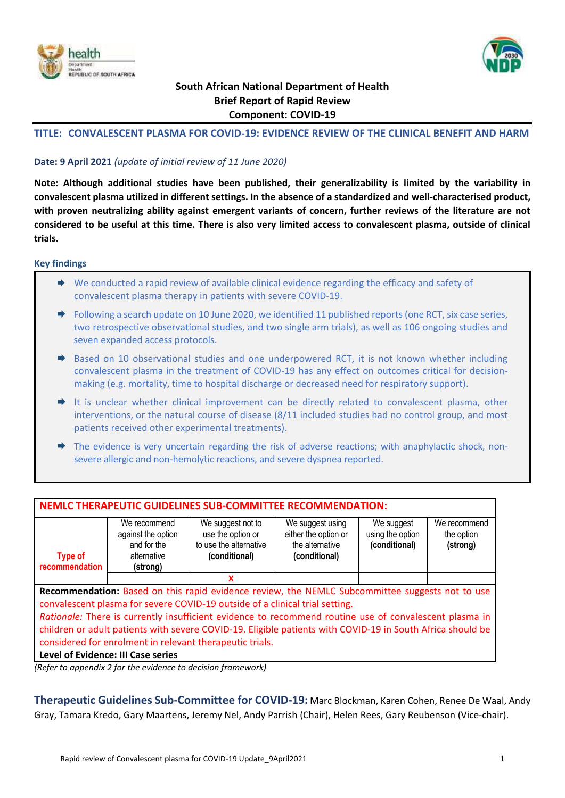



# **South African National Department of Health Brief Report of Rapid Review Component: COVID-19**

# **TITLE: CONVALESCENT PLASMA FOR COVID-19: EVIDENCE REVIEW OF THE CLINICAL BENEFIT AND HARM**

# **Date: 9 April 2021** *(update of initial review of 11 June 2020)*

**Note: Although additional studies have been published, their generalizability is limited by the variability in convalescent plasma utilized in different settings. In the absence of a standardized and well-characterised product, with proven neutralizing ability against emergent variants of concern, further reviews of the literature are not considered to be useful at this time. There is also very limited access to convalescent plasma, outside of clinical trials.**

### **Key findings**

- We conducted a rapid review of available clinical evidence regarding the efficacy and safety of convalescent plasma therapy in patients with severe COVID-19.
- ◆ Following a search update on 10 June 2020, we identified 11 published reports (one RCT, six case series, two retrospective observational studies, and two single arm trials), as well as 106 ongoing studies and seven expanded access protocols.
- $\Rightarrow$  Based on 10 observational studies and one underpowered RCT, it is not known whether including convalescent plasma in the treatment of COVID-19 has any effect on outcomes critical for decisionmaking (e.g. mortality, time to hospital discharge or decreased need for respiratory support).
- $\rightarrow$  It is unclear whether clinical improvement can be directly related to convalescent plasma, other interventions, or the natural course of disease (8/11 included studies had no control group, and most patients received other experimental treatments).
- $\rightarrow$  The evidence is very uncertain regarding the risk of adverse reactions; with anaphylactic shock, nonsevere allergic and non-hemolytic reactions, and severe dyspnea reported.

| <b>NEMLC THERAPEUTIC GUIDELINES SUB-COMMITTEE RECOMMENDATION:</b>                                                                                                                                                                                                                                                                                                                  |                                                             |                                                                                                        |  |  |  |  |
|------------------------------------------------------------------------------------------------------------------------------------------------------------------------------------------------------------------------------------------------------------------------------------------------------------------------------------------------------------------------------------|-------------------------------------------------------------|--------------------------------------------------------------------------------------------------------|--|--|--|--|
| We suggest not to<br>We suggest using<br>We suggest<br>We recommend<br>We recommend<br>either the option or<br>use the option or<br>using the option<br>against the option<br>the option<br>and for the<br>to use the alternative<br>the alternative<br>(conditional)<br>(strong)<br>alternative<br><b>Type of</b><br>(conditional)<br>(conditional)<br>recommendation<br>(strong) |                                                             |                                                                                                        |  |  |  |  |
|                                                                                                                                                                                                                                                                                                                                                                                    |                                                             | x                                                                                                      |  |  |  |  |
| Recommendation: Based on this rapid evidence review, the NEMLC Subcommittee suggests not to use<br>convalescent plasma for severe COVID-19 outside of a clinical trial setting.                                                                                                                                                                                                    |                                                             |                                                                                                        |  |  |  |  |
|                                                                                                                                                                                                                                                                                                                                                                                    |                                                             | Rationale: There is currently insufficient evidence to recommend routine use of convalescent plasma in |  |  |  |  |
| children or adult patients with severe COVID-19. Eligible patients with COVID-19 in South Africa should be                                                                                                                                                                                                                                                                         |                                                             |                                                                                                        |  |  |  |  |
|                                                                                                                                                                                                                                                                                                                                                                                    |                                                             | considered for enrolment in relevant therapeutic trials.                                               |  |  |  |  |
|                                                                                                                                                                                                                                                                                                                                                                                    | Level of Evidence: III Case series                          |                                                                                                        |  |  |  |  |
|                                                                                                                                                                                                                                                                                                                                                                                    | (Refer to annondiv) for the quidence to decision framework) |                                                                                                        |  |  |  |  |

*(Refer to appendix 2 for the evidence to decision framework)*

**Therapeutic Guidelines Sub-Committee for COVID-19:** Marc Blockman, Karen Cohen, Renee De Waal, Andy Gray, Tamara Kredo, Gary Maartens, Jeremy Nel, Andy Parrish (Chair), Helen Rees, Gary Reubenson (Vice-chair).

┑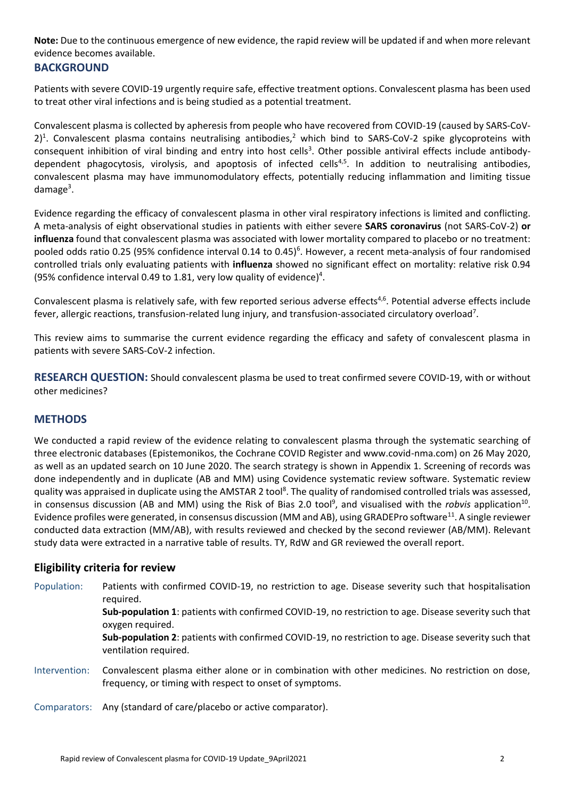**Note:** Due to the continuous emergence of new evidence, the rapid review will be updated if and when more relevant evidence becomes available.

# **BACKGROUND**

Patients with severe COVID-19 urgently require safe, effective treatment options. Convalescent plasma has been used to treat other viral infections and is being studied as a potential treatment.

Convalescent plasma is collected by apheresis from people who have recovered from COVID-19 (caused by SARS-CoV- $2$ <sup>1</sup>. Convalescent plasma contains neutralising antibodies,<sup>2</sup> which bind to SARS-CoV-2 spike glycoproteins with consequent inhibition of viral binding and entry into host cells<sup>3</sup>. Other possible antiviral effects include antibodydependent phagocytosis, virolysis, and apoptosis of infected cells<sup>4,5</sup>. In addition to neutralising antibodies, convalescent plasma may have immunomodulatory effects, potentially reducing inflammation and limiting tissue damage<sup>3</sup>.

Evidence regarding the efficacy of convalescent plasma in other viral respiratory infections is limited and conflicting. A meta-analysis of eight observational studies in patients with either severe **SARS coronavirus** (not SARS-CoV-2) **or influenza** found that convalescent plasma was associated with lower mortality compared to placebo or no treatment: pooled odds ratio 0.25 (95% confidence interval 0.14 to 0.45)<sup>6</sup>. However, a recent meta-analysis of four randomised controlled trials only evaluating patients with **influenza** showed no significant effect on mortality: relative risk 0.94 (95% confidence interval 0.49 to 1.81, very low quality of evidence) 4 .

Convalescent plasma is relatively safe, with few reported serious adverse effects<sup>4,6</sup>. Potential adverse effects include fever, allergic reactions, transfusion-related lung injury, and transfusion-associated circulatory overload<sup>7</sup>.

This review aims to summarise the current evidence regarding the efficacy and safety of convalescent plasma in patients with severe SARS-CoV-2 infection.

**RESEARCH QUESTION:** Should convalescent plasma be used to treat confirmed severe COVID-19, with or without other medicines?

# **METHODS**

We conducted a rapid review of the evidence relating to convalescent plasma through the systematic searching of three electronic databases (Epistemonikos, the Cochrane COVID Register and www.covid-nma.com) on 26 May 2020, as well as an updated search on 10 June 2020. The search strategy is shown in Appendix 1. Screening of records was done independently and in duplicate (AB and MM) using Covidence systematic review software. Systematic review quality was appraised in duplicate using the AMSTAR 2 tool<sup>8</sup>. The quality of randomised controlled trials was assessed, in consensus discussion (AB and MM) using the Risk of Bias 2.0 tool<sup>9</sup>, and visualised with the *robvis* application<sup>10</sup>. Evidence profiles were generated, in consensus discussion (MM and AB), using GRADEPro software<sup>11</sup>. A single reviewer conducted data extraction (MM/AB), with results reviewed and checked by the second reviewer (AB/MM). Relevant study data were extracted in a narrative table of results. TY, RdW and GR reviewed the overall report.

# **Eligibility criteria for review**

Population: Patients with confirmed COVID-19, no restriction to age. Disease severity such that hospitalisation required.

> **Sub-population 1**: patients with confirmed COVID-19, no restriction to age. Disease severity such that oxygen required.

> **Sub-population 2**: patients with confirmed COVID-19, no restriction to age. Disease severity such that ventilation required.

Intervention: Convalescent plasma either alone or in combination with other medicines. No restriction on dose, frequency, or timing with respect to onset of symptoms.

Comparators: Any (standard of care/placebo or active comparator).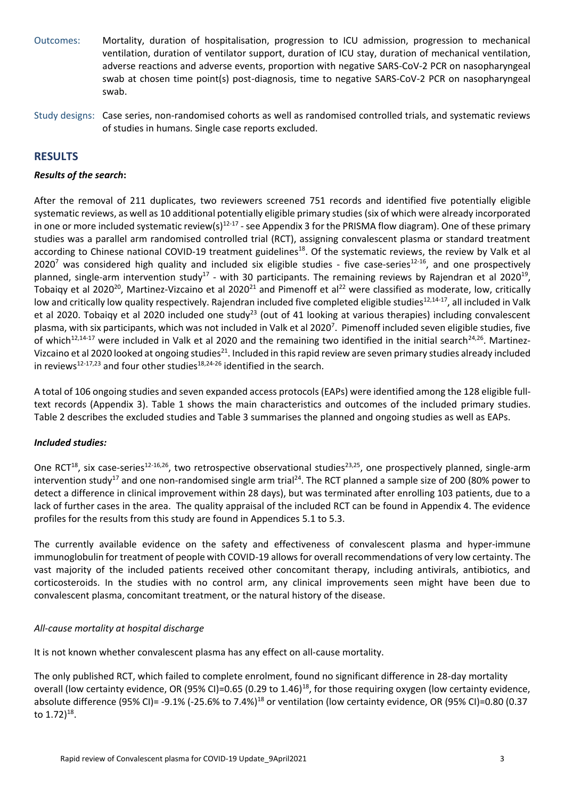- Outcomes: Mortality, duration of hospitalisation, progression to ICU admission, progression to mechanical ventilation, duration of ventilator support, duration of ICU stay, duration of mechanical ventilation, adverse reactions and adverse events, proportion with negative SARS-CoV-2 PCR on nasopharyngeal swab at chosen time point(s) post-diagnosis, time to negative SARS-CoV-2 PCR on nasopharyngeal swab.
- Study designs: Case series, non-randomised cohorts as well as randomised controlled trials, and systematic reviews of studies in humans. Single case reports excluded.

# **RESULTS**

### *Results of the search***:**

After the removal of 211 duplicates, two reviewers screened 751 records and identified five potentially eligible systematic reviews, as well as 10 additional potentially eligible primary studies (six of which were already incorporated in one or more included systematic review(s)<sup>12-17</sup> - see Appendix 3 for the PRISMA flow diagram). One of these primary studies was a parallel arm randomised controlled trial (RCT), assigning convalescent plasma or standard treatment according to Chinese national COVID-19 treatment guidelines<sup>18</sup>. Of the systematic reviews, the review by Valk et al  $2020^7$  was considered high quality and included six eligible studies - five case-series<sup>12-16</sup>, and one prospectively planned, single-arm intervention study<sup>17</sup> - with 30 participants. The remaining reviews by Rajendran et al 2020<sup>19</sup>, Tobaiqy et al 2020<sup>20</sup>, Martinez-Vizcaino et al 2020<sup>21</sup> and Pimenoff et al<sup>22</sup> were classified as moderate, low, critically low and critically low quality respectively. Rajendran included five completed eligible studies<sup>12,14-17</sup>, all included in Valk et al 2020. Tobaigy et al 2020 included one study<sup>23</sup> (out of 41 looking at various therapies) including convalescent plasma, with six participants, which was not included in Valk et al 2020<sup>7</sup>. Pimenoff included seven eligible studies, five of which<sup>12,14-17</sup> were included in Valk et al 2020 and the remaining two identified in the initial search<sup>24,26</sup>. Martinez-Vizcaino et al 2020 looked at ongoing studies<sup>21</sup>. Included in this rapid review are seven primary studies already included in reviews<sup>12-17,23</sup> and four other studies<sup>18,24-26</sup> identified in the search.

A total of 106 ongoing studies and seven expanded access protocols (EAPs) were identified among the 128 eligible fulltext records (Appendix 3). Table 1 shows the main characteristics and outcomes of the included primary studies. Table 2 describes the excluded studies and Table 3 summarises the planned and ongoing studies as well as EAPs.

# *Included studies:*

One RCT<sup>18</sup>, six case-series<sup>12-16,26</sup>, two retrospective observational studies<sup>23,25</sup>, one prospectively planned, single-arm intervention study<sup>17</sup> and one non-randomised single arm trial<sup>24</sup>. The RCT planned a sample size of 200 (80% power to detect a difference in clinical improvement within 28 days), but was terminated after enrolling 103 patients, due to a lack of further cases in the area. The quality appraisal of the included RCT can be found in Appendix 4. The evidence profiles for the results from this study are found in Appendices 5.1 to 5.3.

The currently available evidence on the safety and effectiveness of convalescent plasma and hyper-immune immunoglobulin for treatment of people with COVID-19 allows for overall recommendations of very low certainty. The vast majority of the included patients received other concomitant therapy, including antivirals, antibiotics, and corticosteroids. In the studies with no control arm, any clinical improvements seen might have been due to convalescent plasma, concomitant treatment, or the natural history of the disease.

# *All-cause mortality at hospital discharge*

It is not known whether convalescent plasma has any effect on all-cause mortality.

The only published RCT, which failed to complete enrolment, found no significant difference in 28-day mortality overall (low certainty evidence, OR (95% CI)=0.65 (0.29 to 1.46)<sup>18</sup>, for those requiring oxygen (low certainty evidence, absolute difference (95% CI)= -9.1% (-25.6% to 7.4%)<sup>18</sup> or ventilation (low certainty evidence, OR (95% CI)=0.80 (0.37 to 1.72)<sup>18</sup>.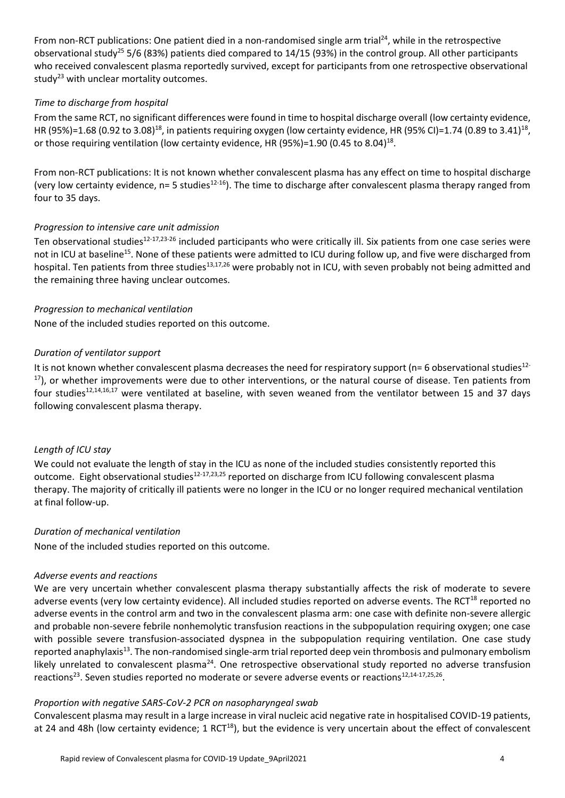From non-RCT publications: One patient died in a non-randomised single arm trial<sup>24</sup>, while in the retrospective observational study<sup>25</sup> 5/6 (83%) patients died compared to  $14/15$  (93%) in the control group. All other participants who received convalescent plasma reportedly survived, except for participants from one retrospective observational study<sup>23</sup> with unclear mortality outcomes.

### *Time to discharge from hospital*

From the same RCT, no significant differences were found in time to hospital discharge overall (low certainty evidence, HR (95%)=1.68 (0.92 to 3.08)<sup>18</sup>, in patients requiring oxygen (low certainty evidence, HR (95% CI)=1.74 (0.89 to 3.41)<sup>18</sup>, or those requiring ventilation (low certainty evidence, HR (95%)=1.90 (0.45 to 8.04)<sup>18</sup>.

From non-RCT publications: It is not known whether convalescent plasma has any effect on time to hospital discharge (very low certainty evidence,  $n=5$  studies<sup>12-16</sup>). The time to discharge after convalescent plasma therapy ranged from four to 35 days.

## *Progression to intensive care unit admission*

Ten observational studies<sup>12-17,23-26</sup> included participants who were critically ill. Six patients from one case series were not in ICU at baseline<sup>15</sup>. None of these patients were admitted to ICU during follow up, and five were discharged from hospital. Ten patients from three studies<sup>13,17,26</sup> were probably not in ICU, with seven probably not being admitted and the remaining three having unclear outcomes.

## *Progression to mechanical ventilation*

None of the included studies reported on this outcome.

## *Duration of ventilator support*

It is not known whether convalescent plasma decreases the need for respiratory support ( $n=6$  observational studies<sup>12-</sup>  $17$ ), or whether improvements were due to other interventions, or the natural course of disease. Ten patients from four studies<sup>12,14,16,17</sup> were ventilated at baseline, with seven weaned from the ventilator between 15 and 37 days following convalescent plasma therapy.

# *Length of ICU stay*

We could not evaluate the length of stay in the ICU as none of the included studies consistently reported this outcome. Eight observational studies<sup>12-17,23,25</sup> reported on discharge from ICU following convalescent plasma therapy. The majority of critically ill patients were no longer in the ICU or no longer required mechanical ventilation at final follow-up.

### *Duration of mechanical ventilation*

None of the included studies reported on this outcome.

### *Adverse events and reactions*

We are very uncertain whether convalescent plasma therapy substantially affects the risk of moderate to severe adverse events (very low certainty evidence). All included studies reported on adverse events. The RCT<sup>18</sup> reported no adverse events in the control arm and two in the convalescent plasma arm: one case with definite non-severe allergic and probable non-severe febrile nonhemolytic transfusion reactions in the subpopulation requiring oxygen; one case with possible severe transfusion-associated dyspnea in the subpopulation requiring ventilation. One case study reported anaphylaxis<sup>13</sup>. The non-randomised single-arm trial reported deep vein thrombosis and pulmonary embolism likely unrelated to convalescent plasma<sup>24</sup>. One retrospective observational study reported no adverse transfusion reactions<sup>23</sup>. Seven studies reported no moderate or severe adverse events or reactions<sup>12,14-17,25,26</sup>.

### *Proportion with negative SARS-CoV-2 PCR on nasopharyngeal swab*

Convalescent plasma may result in a large increase in viral nucleic acid negative rate in hospitalised COVID-19 patients, at 24 and 48h (low certainty evidence; 1 RCT<sup>18</sup>), but the evidence is very uncertain about the effect of convalescent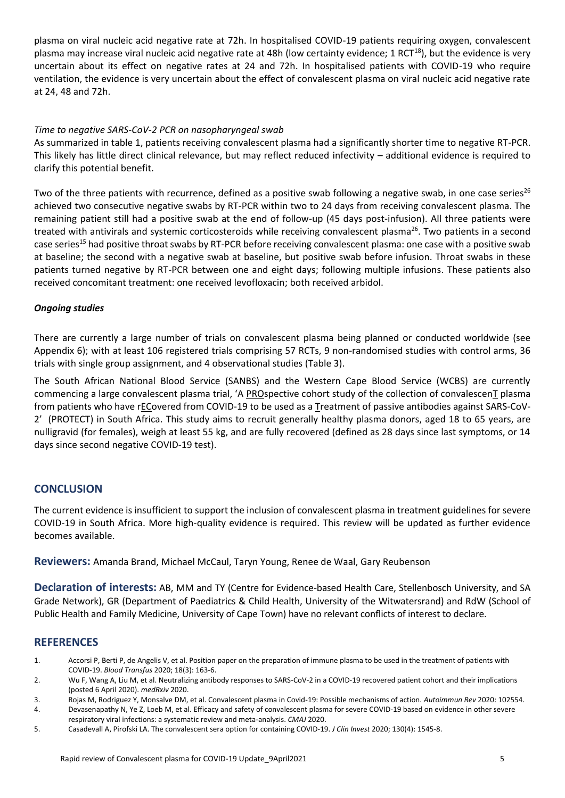plasma on viral nucleic acid negative rate at 72h. In hospitalised COVID-19 patients requiring oxygen, convalescent plasma may increase viral nucleic acid negative rate at 48h (low certainty evidence; 1 RCT<sup>18</sup>), but the evidence is very uncertain about its effect on negative rates at 24 and 72h. In hospitalised patients with COVID-19 who require ventilation, the evidence is very uncertain about the effect of convalescent plasma on viral nucleic acid negative rate at 24, 48 and 72h.

## *Time to negative SARS-CoV-2 PCR on nasopharyngeal swab*

As summarized in table 1, patients receiving convalescent plasma had a significantly shorter time to negative RT-PCR. This likely has little direct clinical relevance, but may reflect reduced infectivity – additional evidence is required to clarify this potential benefit.

Two of the three patients with recurrence, defined as a positive swab following a negative swab, in one case series<sup>26</sup> achieved two consecutive negative swabs by RT-PCR within two to 24 days from receiving convalescent plasma. The remaining patient still had a positive swab at the end of follow-up (45 days post-infusion). All three patients were treated with antivirals and systemic corticosteroids while receiving convalescent plasma<sup>26</sup>. Two patients in a second case series<sup>15</sup> had positive throat swabs by RT-PCR before receiving convalescent plasma: one case with a positive swab at baseline; the second with a negative swab at baseline, but positive swab before infusion. Throat swabs in these patients turned negative by RT-PCR between one and eight days; following multiple infusions. These patients also received concomitant treatment: one received levofloxacin; both received arbidol.

## *Ongoing studies*

There are currently a large number of trials on convalescent plasma being planned or conducted worldwide (see Appendix 6); with at least 106 registered trials comprising 57 RCTs, 9 non-randomised studies with control arms, 36 trials with single group assignment, and 4 observational studies (Table 3).

The South African National Blood Service (SANBS) and the Western Cape Blood Service (WCBS) are currently commencing a large convalescent plasma trial, 'A PROspective cohort study of the collection of convalescenT plasma from patients who have rECovered from COVID-19 to be used as a Treatment of passive antibodies against SARS-CoV-2' (PROTECT) in South Africa. This study aims to recruit generally healthy plasma donors, aged 18 to 65 years, are nulligravid (for females), weigh at least 55 kg, and are fully recovered (defined as 28 days since last symptoms, or 14 days since second negative COVID-19 test).

# **CONCLUSION**

The current evidence is insufficient to support the inclusion of convalescent plasma in treatment guidelines for severe COVID-19 in South Africa. More high-quality evidence is required. This review will be updated as further evidence becomes available.

**Reviewers:** Amanda Brand, Michael McCaul, Taryn Young, Renee de Waal, Gary Reubenson

**Declaration of interests:** AB, MM and TY (Centre for Evidence-based Health Care, Stellenbosch University, and SA Grade Network), GR (Department of Paediatrics & Child Health, University of the Witwatersrand) and RdW (School of Public Health and Family Medicine, University of Cape Town) have no relevant conflicts of interest to declare.

# **REFERENCES**

- 1. Accorsi P, Berti P, de Angelis V, et al. Position paper on the preparation of immune plasma to be used in the treatment of patients with COVID-19. *Blood Transfus* 2020; 18(3): 163-6.
- 2. Wu F, Wang A, Liu M, et al. Neutralizing antibody responses to SARS-CoV-2 in a COVID-19 recovered patient cohort and their implications (posted 6 April 2020). *medRxiv* 2020.
- 3. Rojas M, Rodriguez Y, Monsalve DM, et al. Convalescent plasma in Covid-19: Possible mechanisms of action. *Autoimmun Rev* 2020: 102554.
- 4. Devasenapathy N, Ye Z, Loeb M, et al. Efficacy and safety of convalescent plasma for severe COVID-19 based on evidence in other severe respiratory viral infections: a systematic review and meta-analysis. *CMAJ* 2020.
- 5. Casadevall A, Pirofski LA. The convalescent sera option for containing COVID-19. *J Clin Invest* 2020; 130(4): 1545-8.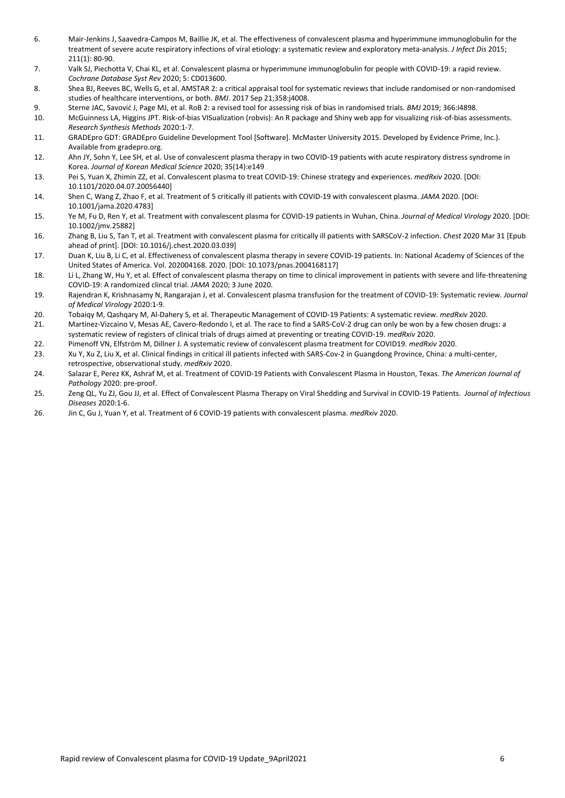- 6. Mair-Jenkins J, Saavedra-Campos M, Baillie JK, et al. The effectiveness of convalescent plasma and hyperimmune immunoglobulin for the treatment of severe acute respiratory infections of viral etiology: a systematic review and exploratory meta-analysis. *J Infect Dis* 2015; 211(1): 80-90.
- 7. Valk SJ, Piechotta V, Chai KL, et al. Convalescent plasma or hyperimmune immunoglobulin for people with COVID-19: a rapid review. *Cochrane Database Syst Rev* 2020; 5: CD013600.
- 8. Shea BJ, Reeves BC, Wells G, et al. AMSTAR 2: a critical appraisal tool for systematic reviews that include randomised or non-randomised studies of healthcare interventions, or both. *BMJ*. 2017 Sep 21;358:j4008.
- 9. Sterne JAC, Savović J, Page MJ, et al. RoB 2: a revised tool for assessing risk of bias in randomised trials. *BMJ* 2019; 366:I4898.
- 10. McGuinness LA, Higgins JPT. Risk-of-bias VISualization (robvis): An R package and Shiny web app for visualizing risk-of-bias assessments. *Research Synthesis Methods* 2020:1-7.
- 11. GRADEpro GDT: GRADEpro Guideline Development Tool [Software]. McMaster University 2015. Developed by Evidence Prime, Inc.). Available from gradepro.org.
- 12. Ahn JY, Sohn Y, Lee SH, et al. Use of convalescent plasma therapy in two COVID-19 patients with acute respiratory distress syndrome in Korea. *Journal of Korean Medical Science* 2020; 35(14):e149
- 13. Pei S, Yuan X, Zhimin ZZ, et al. Convalescent plasma to treat COVID-19: Chinese strategy and experiences. *medRxiv* 2020. [DOI: 10.1101/2020.04.07.20056440]
- 14. Shen C, Wang Z, Zhao F, et al. Treatment of 5 critically ill patients with COVID-19 with convalescent plasma. *JAMA* 2020. [DOI: 10.1001/jama.2020.4783]
- 15. Ye M, Fu D, Ren Y, et al. Treatment with convalescent plasma for COVID-19 patients in Wuhan, China. *Journal of Medical Virology* 2020. [DOI: 10.1002/jmv.25882]
- 16. Zhang B, Liu S, Tan T, et al. Treatment with convalescent plasma for critically ill patients with SARSCoV-2 infection. *Chest* 2020 Mar 31 [Epub ahead of print]. [DOI: 10.1016/j.chest.2020.03.039]
- 17. Duan K, Liu B, Li C, et al. Effectiveness of convalescent plasma therapy in severe COVID-19 patients. In: National Academy of Sciences of the United States of America. Vol. 202004168. 2020. [DOI: 10.1073/pnas.2004168117]
- 18. Li L, Zhang W, Hu Y, et al. Effect of convalescent plasma therapy on time to clinical improvement in patients with severe and life-threatening COVID-19: A randomized clincal trial. *JAMA* 2020; 3 June 2020.
- 19. Rajendran K, Krishnasamy N, Rangarajan J, et al. Convalescent plasma transfusion for the treatment of COVID-19: Systematic review. *Journal of Medical Virology* 2020:1-9.
- 20. Tobaiqy M, Qashqary M, Al-Dahery S, et al. Therapeutic Management of COVID-19 Patients: A systematic review. *medRxiv* 2020.
- 21. Martinez-Vizcaino V, Mesas AE, Cavero-Redondo I, et al. The race to find a SARS-CoV-2 drug can only be won by a few chosen drugs: a systematic review of registers of clinical trials of drugs aimed at preventing or treating COVID-19. *medRxiv* 2020.
- 22. Pimenoff VN, Elfström M, Dillner J. A systematic review of convalescent plasma treatment for COVID19. *medRxiv* 2020.
- 23. Xu Y, Xu Z, Liu X, et al. Clinical findings in critical ill patients infected with SARS-Cov-2 in Guangdong Province, China: a multi-center, retrospective, observational study. *medRxiv* 2020.
- 24. Salazar E, Perez KK, Ashraf M, et al. Treatment of COVID-19 Patients with Convalescent Plasma in Houston, Texas. *The American Journal of Pathology* 2020: pre-proof.
- 25. Zeng QL, Yu ZJ, Gou JJ, et al. Effect of Convalescent Plasma Therapy on Viral Shedding and Survival in COVID-19 Patients. *Journal of Infectious Diseases* 2020:1-6.
- 26. Jin C, Gu J, Yuan Y, et al. Treatment of 6 COVID-19 patients with convalescent plasma. *medRxiv* 2020.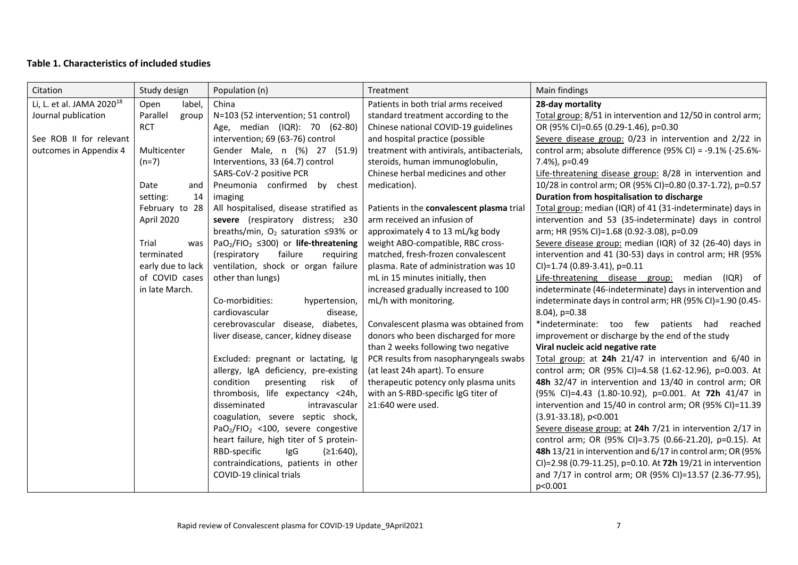# **Table 1. Characteristics of included studies**

| Citation                              | Study design      | Population (n)                                                     | Treatment                                  | Main findings                                               |
|---------------------------------------|-------------------|--------------------------------------------------------------------|--------------------------------------------|-------------------------------------------------------------|
| Li, L. et al. JAMA 2020 <sup>18</sup> | label,<br>Open    | China                                                              | Patients in both trial arms received       | 28-day mortality                                            |
| Journal publication                   | Parallel<br>group | N=103 (52 intervention; 51 control)                                | standard treatment according to the        | Total group: 8/51 in intervention and 12/50 in control arm; |
|                                       | <b>RCT</b>        | Age, median (IQR): 70 (62-80)                                      | Chinese national COVID-19 guidelines       | OR (95% CI)=0.65 (0.29-1.46), p=0.30                        |
| See ROB II for relevant               |                   | intervention; 69 (63-76) control                                   | and hospital practice (possible            | Severe disease group: 0/23 in intervention and 2/22 in      |
| outcomes in Appendix 4                | Multicenter       | Gender Male, n (%) 27 (51.9)                                       | treatment with antivirals, antibacterials, | control arm; absolute difference (95% CI) = -9.1% (-25.6%-  |
|                                       | $(n=7)$           | Interventions, 33 (64.7) control                                   | steroids, human immunoglobulin,            | 7.4%), p=0.49                                               |
|                                       |                   | SARS-CoV-2 positive PCR                                            | Chinese herbal medicines and other         | Life-threatening disease group: 8/28 in intervention and    |
|                                       | Date<br>and       | Pneumonia confirmed<br>by chest                                    | medication).                               | 10/28 in control arm; OR (95% CI)=0.80 (0.37-1.72), p=0.57  |
|                                       | setting:<br>14    | imaging                                                            |                                            | Duration from hospitalisation to discharge                  |
|                                       | February to 28    | All hospitalised, disease stratified as                            | Patients in the convalescent plasma trial  | Total group: median (IQR) of 41 (31-indeterminate) days in  |
|                                       | April 2020        | severe (respiratory distress; ≥30                                  | arm received an infusion of                | intervention and 53 (35-indeterminate) days in control      |
|                                       |                   | breaths/min, $O_2$ saturation $\leq$ 93% or                        | approximately 4 to 13 mL/kg body           | arm; HR (95% CI)=1.68 (0.92-3.08), p=0.09                   |
|                                       | Trial<br>was      | PaO <sub>2</sub> /FIO <sub>2</sub> $\leq$ 300) or life-threatening | weight ABO-compatible, RBC cross-          | Severe disease group: median (IQR) of 32 (26-40) days in    |
|                                       | terminated        | (respiratory<br>failure<br>requiring                               | matched, fresh-frozen convalescent         | intervention and 41 (30-53) days in control arm; HR (95%    |
|                                       | early due to lack | ventilation, shock or organ failure                                | plasma. Rate of administration was 10      | CI)=1.74 (0.89-3.41), p=0.11                                |
|                                       | of COVID cases    | other than lungs)                                                  | mL in 15 minutes initially, then           | Life-threatening disease group: median (IQR) of             |
|                                       | in late March.    |                                                                    | increased gradually increased to 100       | indeterminate (46-indeterminate) days in intervention and   |
|                                       |                   | Co-morbidities:<br>hypertension,                                   | mL/h with monitoring.                      | indeterminate days in control arm; HR (95% CI)=1.90 (0.45-  |
|                                       |                   | cardiovascular<br>disease,                                         |                                            | 8.04), p=0.38                                               |
|                                       |                   | cerebrovascular disease, diabetes,                                 | Convalescent plasma was obtained from      | *indeterminate: too few patients had reached                |
|                                       |                   | liver disease, cancer, kidney disease                              | donors who been discharged for more        | improvement or discharge by the end of the study            |
|                                       |                   |                                                                    | than 2 weeks following two negative        | Viral nucleic acid negative rate                            |
|                                       |                   | Excluded: pregnant or lactating, Ig                                | PCR results from nasopharyngeals swabs     | Total group: at 24h 21/47 in intervention and 6/40 in       |
|                                       |                   | allergy, IgA deficiency, pre-existing                              | (at least 24h apart). To ensure            | control arm; OR (95% CI)=4.58 (1.62-12.96), p=0.003. At     |
|                                       |                   | condition<br>presenting<br>risk of                                 | therapeutic potency only plasma units      | 48h 32/47 in intervention and 13/40 in control arm; OR      |
|                                       |                   | thrombosis, life expectancy <24h,                                  | with an S-RBD-specific IgG titer of        | (95% CI)=4.43 (1.80-10.92), p=0.001. At 72h 41/47 in        |
|                                       |                   | disseminated<br>intravascular                                      | ≥1:640 were used.                          | intervention and 15/40 in control arm; OR (95% CI)=11.39    |
|                                       |                   | coagulation, severe septic shock,                                  |                                            | $(3.91 - 33.18)$ , p<0.001                                  |
|                                       |                   | PaO <sub>2</sub> /FIO <sub>2</sub> <100, severe congestive         |                                            | Severe disease group: at 24h 7/21 in intervention 2/17 in   |
|                                       |                   | heart failure, high titer of S protein-                            |                                            | control arm; OR (95% CI)=3.75 (0.66-21.20), p=0.15). At     |
|                                       |                   | RBD-specific<br>IgG<br>$(≥1:640)$ ,                                |                                            | 48h 13/21 in intervention and 6/17 in control arm; OR (95%  |
|                                       |                   | contraindications, patients in other                               |                                            | CI)=2.98 (0.79-11.25), p=0.10. At 72h 19/21 in intervention |
|                                       |                   | COVID-19 clinical trials                                           |                                            | and 7/17 in control arm; OR (95% CI)=13.57 (2.36-77.95),    |
|                                       |                   |                                                                    |                                            | p<0.001                                                     |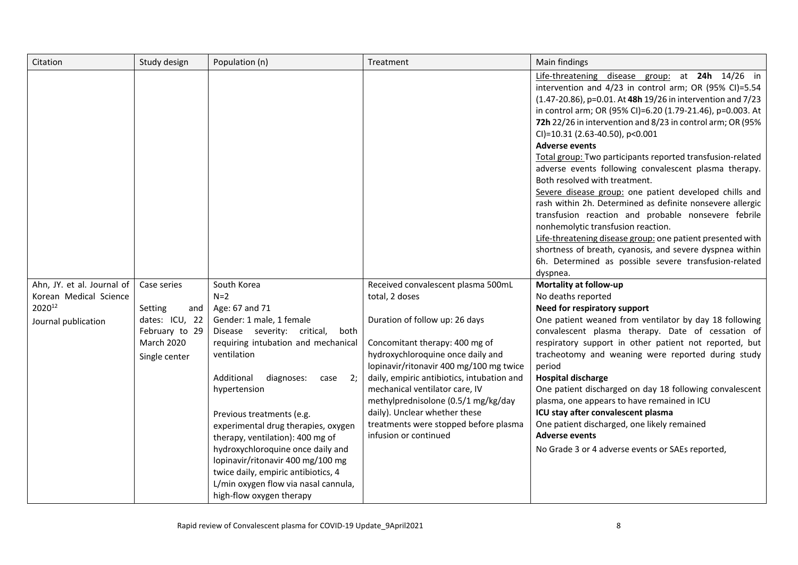| Citation                                                                              | Study design                                                                                     | Population (n)                                                                                                                                                                                                                                                                                                                                                                                                                                                                                                         | Treatment                                                                                                                                                                                                                                                                                                                                                                                                                          | Main findings                                                                                                                                                                                                                                                                                                                                                                                                                                                                                                                                                                                                                                                                                                                                                                                                                                                                                                                               |
|---------------------------------------------------------------------------------------|--------------------------------------------------------------------------------------------------|------------------------------------------------------------------------------------------------------------------------------------------------------------------------------------------------------------------------------------------------------------------------------------------------------------------------------------------------------------------------------------------------------------------------------------------------------------------------------------------------------------------------|------------------------------------------------------------------------------------------------------------------------------------------------------------------------------------------------------------------------------------------------------------------------------------------------------------------------------------------------------------------------------------------------------------------------------------|---------------------------------------------------------------------------------------------------------------------------------------------------------------------------------------------------------------------------------------------------------------------------------------------------------------------------------------------------------------------------------------------------------------------------------------------------------------------------------------------------------------------------------------------------------------------------------------------------------------------------------------------------------------------------------------------------------------------------------------------------------------------------------------------------------------------------------------------------------------------------------------------------------------------------------------------|
|                                                                                       |                                                                                                  |                                                                                                                                                                                                                                                                                                                                                                                                                                                                                                                        |                                                                                                                                                                                                                                                                                                                                                                                                                                    | Life-threatening disease group: at 24h 14/26 in<br>intervention and 4/23 in control arm; OR (95% CI)=5.54<br>(1.47-20.86), p=0.01. At 48h 19/26 in intervention and 7/23<br>in control arm; OR (95% CI)=6.20 (1.79-21.46), p=0.003. At<br>72h 22/26 in intervention and 8/23 in control arm; OR (95%<br>CI)=10.31 (2.63-40.50), p<0.001<br><b>Adverse events</b><br>Total group: Two participants reported transfusion-related<br>adverse events following convalescent plasma therapy.<br>Both resolved with treatment.<br>Severe disease group: one patient developed chills and<br>rash within 2h. Determined as definite nonsevere allergic<br>transfusion reaction and probable nonsevere febrile<br>nonhemolytic transfusion reaction.<br>Life-threatening disease group: one patient presented with<br>shortness of breath, cyanosis, and severe dyspnea within<br>6h. Determined as possible severe transfusion-related<br>dyspnea. |
| Ahn, JY. et al. Journal of<br>Korean Medical Science<br>202012<br>Journal publication | Case series<br>Setting<br>and<br>dates: ICU, 22<br>February to 29<br>March 2020<br>Single center | South Korea<br>$N=2$<br>Age: 67 and 71<br>Gender: 1 male, 1 female<br>Disease severity: critical,<br>both<br>requiring intubation and mechanical<br>ventilation<br>Additional<br>diagnoses:<br>2;<br>case<br>hypertension<br>Previous treatments (e.g.<br>experimental drug therapies, oxygen<br>therapy, ventilation): 400 mg of<br>hydroxychloroquine once daily and<br>lopinavir/ritonavir 400 mg/100 mg<br>twice daily, empiric antibiotics, 4<br>L/min oxygen flow via nasal cannula,<br>high-flow oxygen therapy | Received convalescent plasma 500mL<br>total, 2 doses<br>Duration of follow up: 26 days<br>Concomitant therapy: 400 mg of<br>hydroxychloroquine once daily and<br>lopinavir/ritonavir 400 mg/100 mg twice<br>daily, empiric antibiotics, intubation and<br>mechanical ventilator care, IV<br>methylprednisolone (0.5/1 mg/kg/day<br>daily). Unclear whether these<br>treatments were stopped before plasma<br>infusion or continued | Mortality at follow-up<br>No deaths reported<br>Need for respiratory support<br>One patient weaned from ventilator by day 18 following<br>convalescent plasma therapy. Date of cessation of<br>respiratory support in other patient not reported, but<br>tracheotomy and weaning were reported during study<br>period<br><b>Hospital discharge</b><br>One patient discharged on day 18 following convalescent<br>plasma, one appears to have remained in ICU<br>ICU stay after convalescent plasma<br>One patient discharged, one likely remained<br><b>Adverse events</b><br>No Grade 3 or 4 adverse events or SAEs reported,                                                                                                                                                                                                                                                                                                              |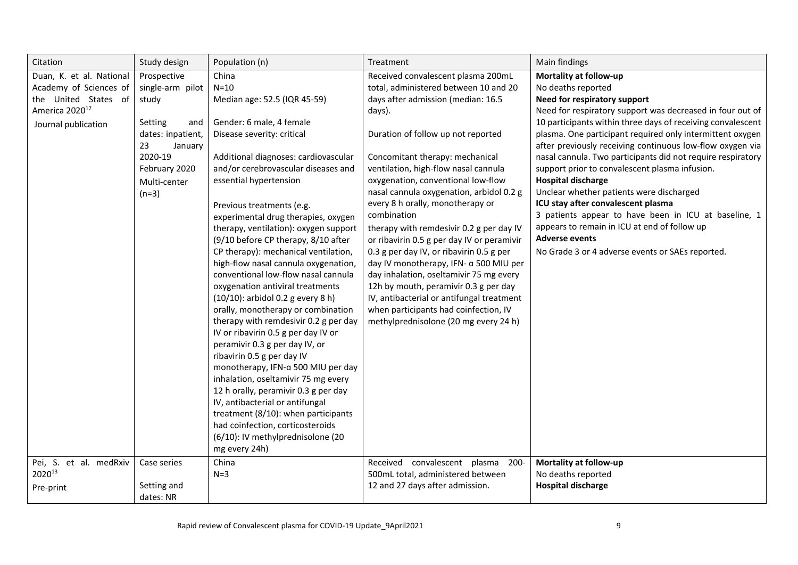| Citation                                                                                                                        | Study design                                                                                                                                            | Population (n)                                                                                                                                                                                                                                                                                                                                                                                                                                                                                                                                                                                                                                                                                                                                                                                                                                                                                                                                                                                                                                        | Treatment                                                                                                                                                                                                                                                                                                                                                                                                                                                                                                                                                                                                                                                                                                                                                                            | Main findings                                                                                                                                                                                                                                                                                                                                                                                                                                                                                                                                                                                                                                                                                                                                           |
|---------------------------------------------------------------------------------------------------------------------------------|---------------------------------------------------------------------------------------------------------------------------------------------------------|-------------------------------------------------------------------------------------------------------------------------------------------------------------------------------------------------------------------------------------------------------------------------------------------------------------------------------------------------------------------------------------------------------------------------------------------------------------------------------------------------------------------------------------------------------------------------------------------------------------------------------------------------------------------------------------------------------------------------------------------------------------------------------------------------------------------------------------------------------------------------------------------------------------------------------------------------------------------------------------------------------------------------------------------------------|--------------------------------------------------------------------------------------------------------------------------------------------------------------------------------------------------------------------------------------------------------------------------------------------------------------------------------------------------------------------------------------------------------------------------------------------------------------------------------------------------------------------------------------------------------------------------------------------------------------------------------------------------------------------------------------------------------------------------------------------------------------------------------------|---------------------------------------------------------------------------------------------------------------------------------------------------------------------------------------------------------------------------------------------------------------------------------------------------------------------------------------------------------------------------------------------------------------------------------------------------------------------------------------------------------------------------------------------------------------------------------------------------------------------------------------------------------------------------------------------------------------------------------------------------------|
| Duan, K. et al. National<br>Academy of Sciences of<br>the United States of<br>America 2020 <sup>17</sup><br>Journal publication | Prospective<br>single-arm pilot<br>study<br>Setting<br>and<br>dates: inpatient,<br>23<br>January<br>2020-19<br>February 2020<br>Multi-center<br>$(n=3)$ | China<br>$N=10$<br>Median age: 52.5 (IQR 45-59)<br>Gender: 6 male, 4 female<br>Disease severity: critical<br>Additional diagnoses: cardiovascular<br>and/or cerebrovascular diseases and<br>essential hypertension<br>Previous treatments (e.g.<br>experimental drug therapies, oxygen<br>therapy, ventilation): oxygen support<br>(9/10 before CP therapy, 8/10 after<br>CP therapy): mechanical ventilation,<br>high-flow nasal cannula oxygenation,<br>conventional low-flow nasal cannula<br>oxygenation antiviral treatments<br>(10/10): arbidol 0.2 g every 8 h)<br>orally, monotherapy or combination<br>therapy with remdesivir 0.2 g per day<br>IV or ribavirin 0.5 g per day IV or<br>peramivir 0.3 g per day IV, or<br>ribavirin 0.5 g per day IV<br>monotherapy, IFN-a 500 MIU per day<br>inhalation, oseltamivir 75 mg every<br>12 h orally, peramivir 0.3 g per day<br>IV, antibacterial or antifungal<br>treatment (8/10): when participants<br>had coinfection, corticosteroids<br>(6/10): IV methylprednisolone (20<br>mg every 24h) | Received convalescent plasma 200mL<br>total, administered between 10 and 20<br>days after admission (median: 16.5<br>days).<br>Duration of follow up not reported<br>Concomitant therapy: mechanical<br>ventilation, high-flow nasal cannula<br>oxygenation, conventional low-flow<br>nasal cannula oxygenation, arbidol 0.2 g<br>every 8 h orally, monotherapy or<br>combination<br>therapy with remdesivir 0.2 g per day IV<br>or ribavirin 0.5 g per day IV or peramivir<br>0.3 g per day IV, or ribavirin 0.5 g per<br>day IV monotherapy, IFN- a 500 MIU per<br>day inhalation, oseltamivir 75 mg every<br>12h by mouth, peramivir 0.3 g per day<br>IV, antibacterial or antifungal treatment<br>when participants had coinfection, IV<br>methylprednisolone (20 mg every 24 h) | Mortality at follow-up<br>No deaths reported<br>Need for respiratory support<br>Need for respiratory support was decreased in four out of<br>10 participants within three days of receiving convalescent<br>plasma. One participant required only intermittent oxygen<br>after previously receiving continuous low-flow oxygen via<br>nasal cannula. Two participants did not require respiratory<br>support prior to convalescent plasma infusion.<br><b>Hospital discharge</b><br>Unclear whether patients were discharged<br>ICU stay after convalescent plasma<br>3 patients appear to have been in ICU at baseline, 1<br>appears to remain in ICU at end of follow up<br><b>Adverse events</b><br>No Grade 3 or 4 adverse events or SAEs reported. |
| Pei, S. et al. medRxiv<br>202013<br>Pre-print                                                                                   | Case series<br>Setting and<br>dates: NR                                                                                                                 | China<br>$N=3$                                                                                                                                                                                                                                                                                                                                                                                                                                                                                                                                                                                                                                                                                                                                                                                                                                                                                                                                                                                                                                        | convalescent plasma<br>Received<br>$200 -$<br>500mL total, administered between<br>12 and 27 days after admission.                                                                                                                                                                                                                                                                                                                                                                                                                                                                                                                                                                                                                                                                   | Mortality at follow-up<br>No deaths reported<br><b>Hospital discharge</b>                                                                                                                                                                                                                                                                                                                                                                                                                                                                                                                                                                                                                                                                               |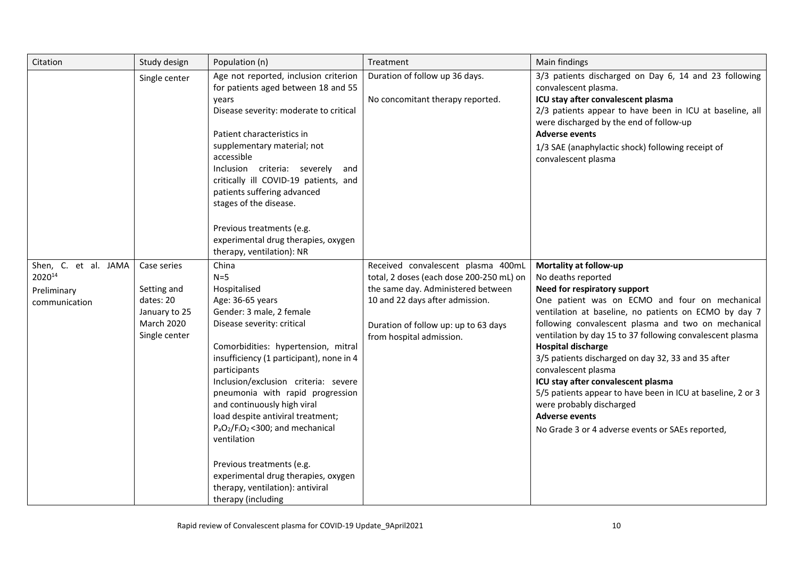| Citation                                                       | Study design                                                                                   | Population (n)                                                                                                                                                                                                                                                                                                                                                                                                                                                                                                                                       | Treatment                                                                                                                                                                                                                   | Main findings                                                                                                                                                                                                                                                                                                                                                                                                                                                                                                                                                                                                                       |
|----------------------------------------------------------------|------------------------------------------------------------------------------------------------|------------------------------------------------------------------------------------------------------------------------------------------------------------------------------------------------------------------------------------------------------------------------------------------------------------------------------------------------------------------------------------------------------------------------------------------------------------------------------------------------------------------------------------------------------|-----------------------------------------------------------------------------------------------------------------------------------------------------------------------------------------------------------------------------|-------------------------------------------------------------------------------------------------------------------------------------------------------------------------------------------------------------------------------------------------------------------------------------------------------------------------------------------------------------------------------------------------------------------------------------------------------------------------------------------------------------------------------------------------------------------------------------------------------------------------------------|
|                                                                | Single center                                                                                  | Age not reported, inclusion criterion<br>for patients aged between 18 and 55<br>years<br>Disease severity: moderate to critical<br>Patient characteristics in<br>supplementary material; not<br>accessible<br>Inclusion criteria: severely<br>and<br>critically ill COVID-19 patients, and<br>patients suffering advanced<br>stages of the disease.<br>Previous treatments (e.g.<br>experimental drug therapies, oxygen<br>therapy, ventilation): NR                                                                                                 | Duration of follow up 36 days.<br>No concomitant therapy reported.                                                                                                                                                          | 3/3 patients discharged on Day 6, 14 and 23 following<br>convalescent plasma.<br>ICU stay after convalescent plasma<br>2/3 patients appear to have been in ICU at baseline, all<br>were discharged by the end of follow-up<br><b>Adverse events</b><br>1/3 SAE (anaphylactic shock) following receipt of<br>convalescent plasma                                                                                                                                                                                                                                                                                                     |
| Shen, C. et al. JAMA<br>202014<br>Preliminary<br>communication | Case series<br>Setting and<br>dates: 20<br>January to 25<br><b>March 2020</b><br>Single center | China<br>$N=5$<br>Hospitalised<br>Age: 36-65 years<br>Gender: 3 male, 2 female<br>Disease severity: critical<br>Comorbidities: hypertension, mitral<br>insufficiency (1 participant), none in 4<br>participants<br>Inclusion/exclusion criteria: severe<br>pneumonia with rapid progression<br>and continuously high viral<br>load despite antiviral treatment;<br>$P_aO_2/F_1O_2$ <300; and mechanical<br>ventilation<br>Previous treatments (e.g.<br>experimental drug therapies, oxygen<br>therapy, ventilation): antiviral<br>therapy (including | Received convalescent plasma 400mL<br>total, 2 doses (each dose 200-250 mL) on<br>the same day. Administered between<br>10 and 22 days after admission.<br>Duration of follow up: up to 63 days<br>from hospital admission. | Mortality at follow-up<br>No deaths reported<br>Need for respiratory support<br>One patient was on ECMO and four on mechanical<br>ventilation at baseline, no patients on ECMO by day 7<br>following convalescent plasma and two on mechanical<br>ventilation by day 15 to 37 following convalescent plasma<br><b>Hospital discharge</b><br>3/5 patients discharged on day 32, 33 and 35 after<br>convalescent plasma<br>ICU stay after convalescent plasma<br>5/5 patients appear to have been in ICU at baseline, 2 or 3<br>were probably discharged<br><b>Adverse events</b><br>No Grade 3 or 4 adverse events or SAEs reported, |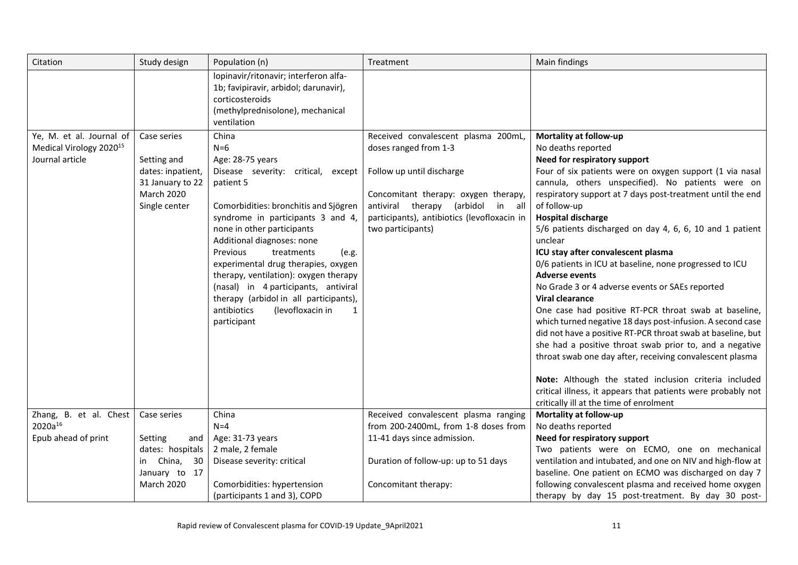| Citation                                                                           | Study design                                                                                              | Population (n)                                                                                                                                                                                                                                                                                                                                                                                                                                                                                         | Treatment                                                                                                                                                                                                                                     | Main findings                                                                                                                                                                                                                                                                                                                                                                                                                                                                                                                                                                                                                                                                                                                                                                                                                                                                                                                                                                                                                                                           |
|------------------------------------------------------------------------------------|-----------------------------------------------------------------------------------------------------------|--------------------------------------------------------------------------------------------------------------------------------------------------------------------------------------------------------------------------------------------------------------------------------------------------------------------------------------------------------------------------------------------------------------------------------------------------------------------------------------------------------|-----------------------------------------------------------------------------------------------------------------------------------------------------------------------------------------------------------------------------------------------|-------------------------------------------------------------------------------------------------------------------------------------------------------------------------------------------------------------------------------------------------------------------------------------------------------------------------------------------------------------------------------------------------------------------------------------------------------------------------------------------------------------------------------------------------------------------------------------------------------------------------------------------------------------------------------------------------------------------------------------------------------------------------------------------------------------------------------------------------------------------------------------------------------------------------------------------------------------------------------------------------------------------------------------------------------------------------|
|                                                                                    |                                                                                                           | lopinavir/ritonavir; interferon alfa-<br>1b; favipiravir, arbidol; darunavir),<br>corticosteroids<br>(methylprednisolone), mechanical<br>ventilation                                                                                                                                                                                                                                                                                                                                                   |                                                                                                                                                                                                                                               |                                                                                                                                                                                                                                                                                                                                                                                                                                                                                                                                                                                                                                                                                                                                                                                                                                                                                                                                                                                                                                                                         |
| Ye, M. et al. Journal of<br>Medical Virology 2020 <sup>15</sup><br>Journal article | Case series<br>Setting and<br>dates: inpatient,<br>31 January to 22<br><b>March 2020</b><br>Single center | China<br>$N=6$<br>Age: 28-75 years<br>Disease severity: critical, except<br>patient 5<br>Comorbidities: bronchitis and Sjögren<br>syndrome in participants 3 and 4,<br>none in other participants<br>Additional diagnoses: none<br>Previous<br>treatments<br>(e.g.<br>experimental drug therapies, oxygen<br>therapy, ventilation): oxygen therapy<br>(nasal) in 4 participants, antiviral<br>therapy (arbidol in all participants),<br>antibiotics<br>(levofloxacin in<br>$\mathbf{1}$<br>participant | Received convalescent plasma 200mL,<br>doses ranged from 1-3<br>Follow up until discharge<br>Concomitant therapy: oxygen therapy,<br>antiviral therapy (arbidol<br>in all<br>participants), antibiotics (levofloxacin in<br>two participants) | Mortality at follow-up<br>No deaths reported<br>Need for respiratory support<br>Four of six patients were on oxygen support (1 via nasal<br>cannula, others unspecified). No patients were on<br>respiratory support at 7 days post-treatment until the end<br>of follow-up<br><b>Hospital discharge</b><br>5/6 patients discharged on day 4, 6, 6, 10 and 1 patient<br>unclear<br>ICU stay after convalescent plasma<br>0/6 patients in ICU at baseline, none progressed to ICU<br><b>Adverse events</b><br>No Grade 3 or 4 adverse events or SAEs reported<br><b>Viral clearance</b><br>One case had positive RT-PCR throat swab at baseline,<br>which turned negative 18 days post-infusion. A second case<br>did not have a positive RT-PCR throat swab at baseline, but<br>she had a positive throat swab prior to, and a negative<br>throat swab one day after, receiving convalescent plasma<br>Note: Although the stated inclusion criteria included<br>critical illness, it appears that patients were probably not<br>critically ill at the time of enrolment |
| Zhang, B. et al. Chest<br>2020a <sup>16</sup>                                      | Case series                                                                                               | China<br>$N=4$                                                                                                                                                                                                                                                                                                                                                                                                                                                                                         | Received convalescent plasma ranging<br>from 200-2400mL, from 1-8 doses from                                                                                                                                                                  | Mortality at follow-up<br>No deaths reported                                                                                                                                                                                                                                                                                                                                                                                                                                                                                                                                                                                                                                                                                                                                                                                                                                                                                                                                                                                                                            |
| Epub ahead of print                                                                | Setting<br>and                                                                                            | Age: 31-73 years                                                                                                                                                                                                                                                                                                                                                                                                                                                                                       | 11-41 days since admission.                                                                                                                                                                                                                   | Need for respiratory support                                                                                                                                                                                                                                                                                                                                                                                                                                                                                                                                                                                                                                                                                                                                                                                                                                                                                                                                                                                                                                            |
|                                                                                    | dates: hospitals                                                                                          | 2 male, 2 female                                                                                                                                                                                                                                                                                                                                                                                                                                                                                       |                                                                                                                                                                                                                                               | Two patients were on ECMO, one on mechanical                                                                                                                                                                                                                                                                                                                                                                                                                                                                                                                                                                                                                                                                                                                                                                                                                                                                                                                                                                                                                            |
|                                                                                    | in China,<br>30                                                                                           | Disease severity: critical                                                                                                                                                                                                                                                                                                                                                                                                                                                                             | Duration of follow-up: up to 51 days                                                                                                                                                                                                          | ventilation and intubated, and one on NIV and high-flow at                                                                                                                                                                                                                                                                                                                                                                                                                                                                                                                                                                                                                                                                                                                                                                                                                                                                                                                                                                                                              |
|                                                                                    | January to 17<br><b>March 2020</b>                                                                        | Comorbidities: hypertension                                                                                                                                                                                                                                                                                                                                                                                                                                                                            | Concomitant therapy:                                                                                                                                                                                                                          | baseline. One patient on ECMO was discharged on day 7<br>following convalescent plasma and received home oxygen                                                                                                                                                                                                                                                                                                                                                                                                                                                                                                                                                                                                                                                                                                                                                                                                                                                                                                                                                         |
|                                                                                    |                                                                                                           | (participants 1 and 3), COPD                                                                                                                                                                                                                                                                                                                                                                                                                                                                           |                                                                                                                                                                                                                                               | therapy by day 15 post-treatment. By day 30 post-                                                                                                                                                                                                                                                                                                                                                                                                                                                                                                                                                                                                                                                                                                                                                                                                                                                                                                                                                                                                                       |
|                                                                                    |                                                                                                           |                                                                                                                                                                                                                                                                                                                                                                                                                                                                                                        |                                                                                                                                                                                                                                               |                                                                                                                                                                                                                                                                                                                                                                                                                                                                                                                                                                                                                                                                                                                                                                                                                                                                                                                                                                                                                                                                         |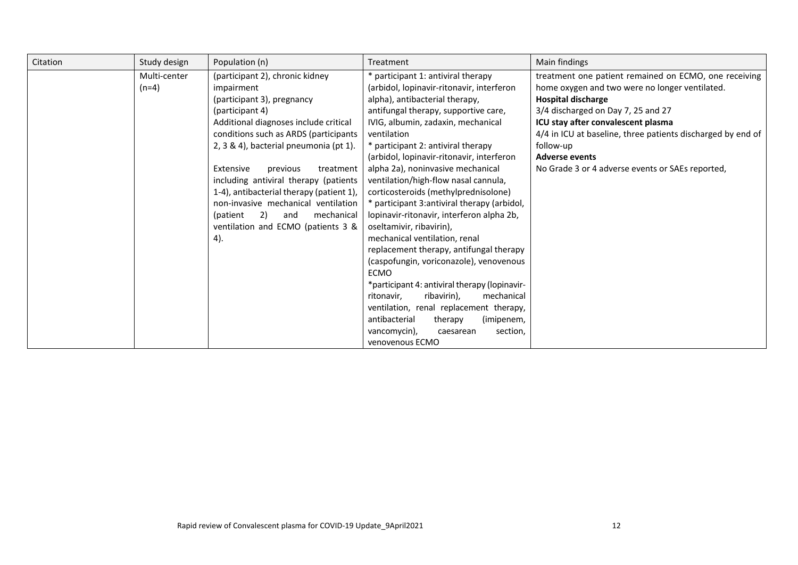| Citation | Study design            | Population (n)                                                                                                                                                                                                                                                                                                                                                                                                                                                                   | Treatment                                                                                                                                                                                                                                                                                                                                                                                                                                                                                                                                                                                                                                                                                                                             | Main findings                                                                                                                                                                                                                                                                                                                                                             |
|----------|-------------------------|----------------------------------------------------------------------------------------------------------------------------------------------------------------------------------------------------------------------------------------------------------------------------------------------------------------------------------------------------------------------------------------------------------------------------------------------------------------------------------|---------------------------------------------------------------------------------------------------------------------------------------------------------------------------------------------------------------------------------------------------------------------------------------------------------------------------------------------------------------------------------------------------------------------------------------------------------------------------------------------------------------------------------------------------------------------------------------------------------------------------------------------------------------------------------------------------------------------------------------|---------------------------------------------------------------------------------------------------------------------------------------------------------------------------------------------------------------------------------------------------------------------------------------------------------------------------------------------------------------------------|
|          | Multi-center<br>$(n=4)$ | (participant 2), chronic kidney<br>impairment<br>(participant 3), pregnancy<br>(participant 4)<br>Additional diagnoses include critical<br>conditions such as ARDS (participants<br>2, 3 & 4), bacterial pneumonia (pt 1).<br>Extensive<br>treatment<br>previous<br>including antiviral therapy (patients<br>1-4), antibacterial therapy (patient 1),<br>non-invasive mechanical ventilation<br>mechanical<br>(patient<br>2)<br>and<br>ventilation and ECMO (patients 3 &<br>4). | * participant 1: antiviral therapy<br>(arbidol, lopinavir-ritonavir, interferon<br>alpha), antibacterial therapy,<br>antifungal therapy, supportive care,<br>IVIG, albumin, zadaxin, mechanical<br>ventilation<br>* participant 2: antiviral therapy<br>(arbidol, lopinavir-ritonavir, interferon<br>alpha 2a), noninvasive mechanical<br>ventilation/high-flow nasal cannula,<br>corticosteroids (methylprednisolone)<br>* participant 3:antiviral therapy (arbidol,<br>lopinavir-ritonavir, interferon alpha 2b,<br>oseltamivir, ribavirin),<br>mechanical ventilation, renal<br>replacement therapy, antifungal therapy<br>(caspofungin, voriconazole), venovenous<br><b>ECMO</b><br>*participant 4: antiviral therapy (lopinavir- | treatment one patient remained on ECMO, one receiving<br>home oxygen and two were no longer ventilated.<br><b>Hospital discharge</b><br>3/4 discharged on Day 7, 25 and 27<br>ICU stay after convalescent plasma<br>4/4 in ICU at baseline, three patients discharged by end of<br>follow-up<br><b>Adverse events</b><br>No Grade 3 or 4 adverse events or SAEs reported, |
|          |                         |                                                                                                                                                                                                                                                                                                                                                                                                                                                                                  | ritonavir,<br>ribavirin),<br>mechanical                                                                                                                                                                                                                                                                                                                                                                                                                                                                                                                                                                                                                                                                                               |                                                                                                                                                                                                                                                                                                                                                                           |
|          |                         |                                                                                                                                                                                                                                                                                                                                                                                                                                                                                  | ventilation, renal replacement therapy,<br>antibacterial<br>therapy<br>(imipenem,<br>section,<br>vancomycin),<br>caesarean<br>venovenous ECMO                                                                                                                                                                                                                                                                                                                                                                                                                                                                                                                                                                                         |                                                                                                                                                                                                                                                                                                                                                                           |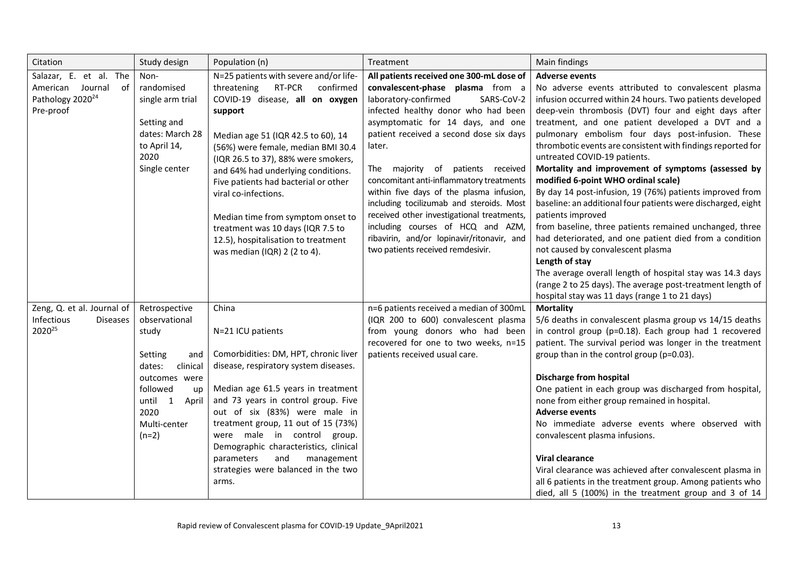| Citation                                                                                   | Study design                                                                                                                                                              | Population (n)                                                                                                                                                                                                                                                                                                                                                                                                                                                                                       | Treatment                                                                                                                                                                                                                                                                                                                                                                                                                                                                                                                                                                                          | Main findings                                                                                                                                                                                                                                                                                                                                                                                                                                                                                                                                                                                                                                                                                                                                                                                                                                                                                                                                                                                                     |
|--------------------------------------------------------------------------------------------|---------------------------------------------------------------------------------------------------------------------------------------------------------------------------|------------------------------------------------------------------------------------------------------------------------------------------------------------------------------------------------------------------------------------------------------------------------------------------------------------------------------------------------------------------------------------------------------------------------------------------------------------------------------------------------------|----------------------------------------------------------------------------------------------------------------------------------------------------------------------------------------------------------------------------------------------------------------------------------------------------------------------------------------------------------------------------------------------------------------------------------------------------------------------------------------------------------------------------------------------------------------------------------------------------|-------------------------------------------------------------------------------------------------------------------------------------------------------------------------------------------------------------------------------------------------------------------------------------------------------------------------------------------------------------------------------------------------------------------------------------------------------------------------------------------------------------------------------------------------------------------------------------------------------------------------------------------------------------------------------------------------------------------------------------------------------------------------------------------------------------------------------------------------------------------------------------------------------------------------------------------------------------------------------------------------------------------|
| Salazar, E. et al. The<br>American Journal of<br>Pathology 2020 <sup>24</sup><br>Pre-proof | Non-<br>randomised<br>single arm trial<br>Setting and<br>dates: March 28<br>to April 14,<br>2020<br>Single center                                                         | N=25 patients with severe and/or life-<br>threatening<br>RT-PCR<br>confirmed<br>COVID-19 disease, all on oxygen<br>support<br>Median age 51 (IQR 42.5 to 60), 14<br>(56%) were female, median BMI 30.4<br>(IQR 26.5 to 37), 88% were smokers,<br>and 64% had underlying conditions.<br>Five patients had bacterial or other<br>viral co-infections.<br>Median time from symptom onset to<br>treatment was 10 days (IQR 7.5 to<br>12.5), hospitalisation to treatment<br>was median (IQR) 2 (2 to 4). | All patients received one 300-mL dose of<br>convalescent-phase plasma from a<br>laboratory-confirmed<br>SARS-CoV-2<br>infected healthy donor who had been<br>asymptomatic for 14 days, and one<br>patient received a second dose six days<br>later.<br>The majority of patients received<br>concomitant anti-inflammatory treatments<br>within five days of the plasma infusion,<br>including tocilizumab and steroids. Most<br>received other investigational treatments,<br>including courses of HCQ and AZM,<br>ribavirin, and/or lopinavir/ritonavir, and<br>two patients received remdesivir. | <b>Adverse events</b><br>No adverse events attributed to convalescent plasma<br>infusion occurred within 24 hours. Two patients developed<br>deep-vein thrombosis (DVT) four and eight days after<br>treatment, and one patient developed a DVT and a<br>pulmonary embolism four days post-infusion. These<br>thrombotic events are consistent with findings reported for<br>untreated COVID-19 patients.<br>Mortality and improvement of symptoms (assessed by<br>modified 6-point WHO ordinal scale)<br>By day 14 post-infusion, 19 (76%) patients improved from<br>baseline: an additional four patients were discharged, eight<br>patients improved<br>from baseline, three patients remained unchanged, three<br>had deteriorated, and one patient died from a condition<br>not caused by convalescent plasma<br>Length of stay<br>The average overall length of hospital stay was 14.3 days<br>(range 2 to 25 days). The average post-treatment length of<br>hospital stay was 11 days (range 1 to 21 days) |
| Zeng, Q. et al. Journal of<br>Infectious<br><b>Diseases</b><br>2020 <sup>25</sup>          | Retrospective<br>observational<br>study<br>Setting<br>and<br>dates:<br>clinical<br>outcomes were<br>followed<br>up<br>until 1<br>April<br>2020<br>Multi-center<br>$(n=2)$ | China<br>N=21 ICU patients<br>Comorbidities: DM, HPT, chronic liver<br>disease, respiratory system diseases.<br>Median age 61.5 years in treatment<br>and 73 years in control group. Five<br>out of six (83%) were male in<br>treatment group, 11 out of 15 (73%)<br>were male in control group.<br>Demographic characteristics, clinical<br>management<br>parameters<br>and<br>strategies were balanced in the two<br>arms.                                                                         | n=6 patients received a median of 300mL<br>(IQR 200 to 600) convalescent plasma<br>from young donors who had been<br>recovered for one to two weeks, n=15<br>patients received usual care.                                                                                                                                                                                                                                                                                                                                                                                                         | <b>Mortality</b><br>5/6 deaths in convalescent plasma group vs 14/15 deaths<br>in control group (p=0.18). Each group had 1 recovered<br>patient. The survival period was longer in the treatment<br>group than in the control group (p=0.03).<br><b>Discharge from hospital</b><br>One patient in each group was discharged from hospital,<br>none from either group remained in hospital.<br><b>Adverse events</b><br>No immediate adverse events where observed with<br>convalescent plasma infusions.<br><b>Viral clearance</b><br>Viral clearance was achieved after convalescent plasma in<br>all 6 patients in the treatment group. Among patients who<br>died, all 5 (100%) in the treatment group and 3 of 14                                                                                                                                                                                                                                                                                             |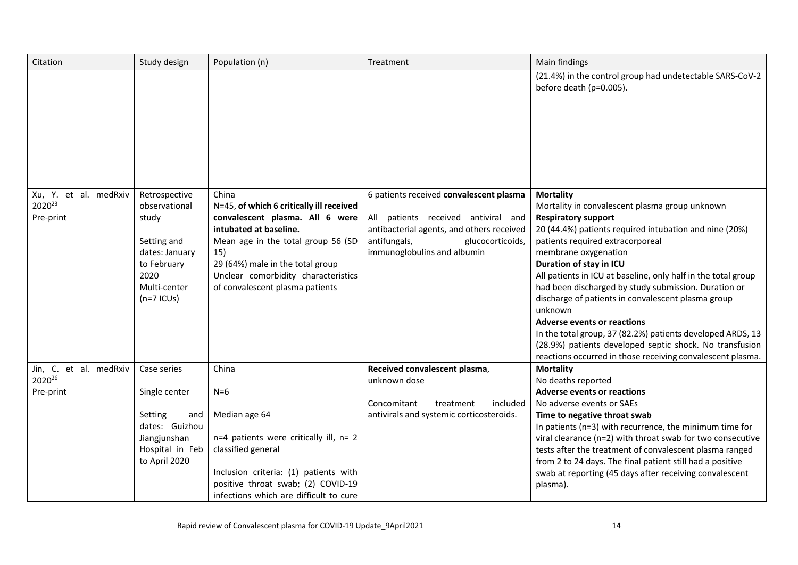| Citation                         | Study design                     | Population (n)                                    | Treatment                                                       | Main findings                                                                                                        |
|----------------------------------|----------------------------------|---------------------------------------------------|-----------------------------------------------------------------|----------------------------------------------------------------------------------------------------------------------|
|                                  |                                  |                                                   |                                                                 | (21.4%) in the control group had undetectable SARS-CoV-2<br>before death (p=0.005).                                  |
| Xu, Y. et al. medRxiv<br>202023  | Retrospective<br>observational   | China<br>N=45, of which 6 critically ill received | 6 patients received convalescent plasma                         | <b>Mortality</b><br>Mortality in convalescent plasma group unknown                                                   |
| Pre-print                        | study                            | convalescent plasma. All 6 were                   | All patients received antiviral and                             | <b>Respiratory support</b>                                                                                           |
|                                  |                                  | intubated at baseline.                            | antibacterial agents, and others received                       | 20 (44.4%) patients required intubation and nine (20%)                                                               |
|                                  | Setting and<br>dates: January    | Mean age in the total group 56 (SD<br>15)         | antifungals,<br>glucocorticoids,<br>immunoglobulins and albumin | patients required extracorporeal<br>membrane oxygenation                                                             |
|                                  | to February                      | 29 (64%) male in the total group                  |                                                                 | Duration of stay in ICU                                                                                              |
|                                  | 2020                             | Unclear comorbidity characteristics               |                                                                 | All patients in ICU at baseline, only half in the total group                                                        |
|                                  | Multi-center                     | of convalescent plasma patients                   |                                                                 | had been discharged by study submission. Duration or                                                                 |
|                                  | $(n=7$ ICUs)                     |                                                   |                                                                 | discharge of patients in convalescent plasma group<br>unknown                                                        |
|                                  |                                  |                                                   |                                                                 | <b>Adverse events or reactions</b>                                                                                   |
|                                  |                                  |                                                   |                                                                 | In the total group, 37 (82.2%) patients developed ARDS, 13                                                           |
|                                  |                                  |                                                   |                                                                 | (28.9%) patients developed septic shock. No transfusion                                                              |
|                                  |                                  | China                                             |                                                                 | reactions occurred in those receiving convalescent plasma.                                                           |
| Jin, C. et al. medRxiv<br>202026 | Case series                      |                                                   | Received convalescent plasma,<br>unknown dose                   | <b>Mortality</b><br>No deaths reported                                                                               |
| Pre-print                        | Single center                    | $N=6$                                             |                                                                 | <b>Adverse events or reactions</b>                                                                                   |
|                                  |                                  |                                                   | Concomitant<br>included<br>treatment                            | No adverse events or SAEs                                                                                            |
|                                  | Setting<br>and                   | Median age 64                                     | antivirals and systemic corticosteroids.                        | Time to negative throat swab                                                                                         |
|                                  | dates: Guizhou                   |                                                   |                                                                 | In patients (n=3) with recurrence, the minimum time for                                                              |
|                                  | Jiangjunshan                     | n=4 patients were critically ill, n= 2            |                                                                 | viral clearance (n=2) with throat swab for two consecutive                                                           |
|                                  | Hospital in Feb<br>to April 2020 | classified general                                |                                                                 | tests after the treatment of convalescent plasma ranged<br>from 2 to 24 days. The final patient still had a positive |
|                                  |                                  | Inclusion criteria: (1) patients with             |                                                                 | swab at reporting (45 days after receiving convalescent                                                              |
|                                  |                                  | positive throat swab; (2) COVID-19                |                                                                 | plasma).                                                                                                             |
|                                  |                                  | infections which are difficult to cure            |                                                                 |                                                                                                                      |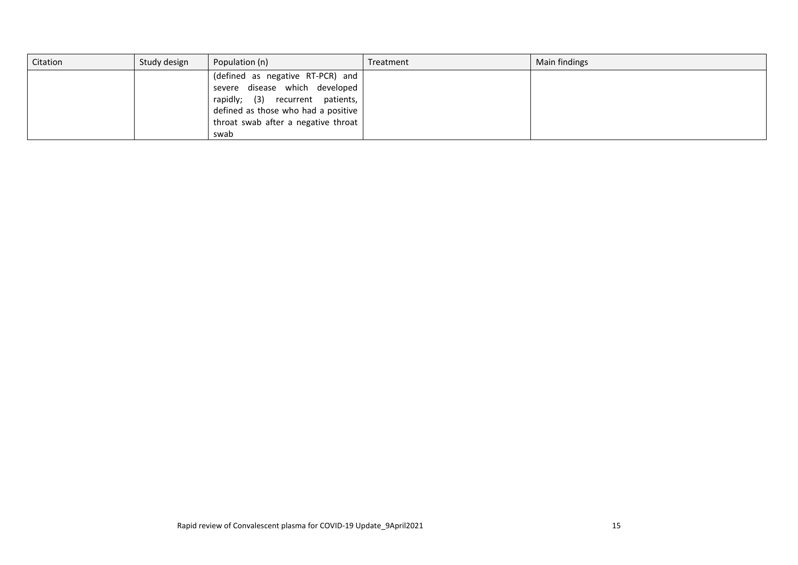| Citation | Study design | Population (n)                      | Treatment | Main findings |
|----------|--------------|-------------------------------------|-----------|---------------|
|          |              | (defined as negative RT-PCR) and    |           |               |
|          |              | severe disease which developed      |           |               |
|          |              | rapidly; (3) recurrent patients,    |           |               |
|          |              | defined as those who had a positive |           |               |
|          |              | throat swab after a negative throat |           |               |
|          |              | swab                                |           |               |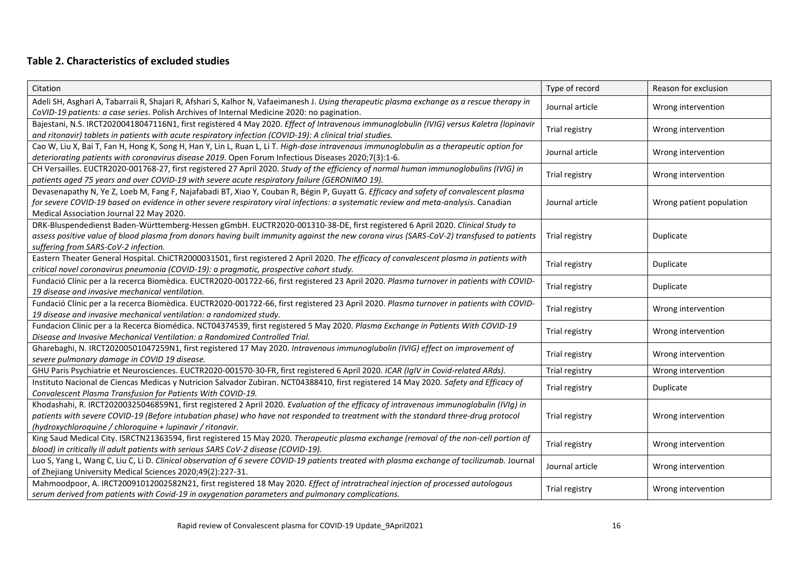# **Table 2. Characteristics of excluded studies**

| Citation                                                                                                                                                                                                                                                                                                                                  | Type of record  | Reason for exclusion     |
|-------------------------------------------------------------------------------------------------------------------------------------------------------------------------------------------------------------------------------------------------------------------------------------------------------------------------------------------|-----------------|--------------------------|
| Adeli SH, Asghari A, Tabarraii R, Shajari R, Afshari S, Kalhor N, Vafaeimanesh J. Using therapeutic plasma exchange as a rescue therapy in<br>CoVID-19 patients: a case series. Polish Archives of Internal Medicine 2020: no pagination.                                                                                                 | Journal article | Wrong intervention       |
| Bajestani, N.S. IRCT20200418047116N1, first registered 4 May 2020. Effect of Intravenous immunoglobulin (IVIG) versus Kaletra (lopinavir<br>and ritonavir) tablets in patients with acute respiratory infection (COVID-19): A clinical trial studies.                                                                                     | Trial registry  | Wrong intervention       |
| Cao W, Liu X, Bai T, Fan H, Hong K, Song H, Han Y, Lin L, Ruan L, Li T. High-dose intravenous immunoglobulin as a therapeutic option for<br>deteriorating patients with coronavirus disease 2019. Open Forum Infectious Diseases 2020;7(3):1-6.                                                                                           | Journal article | Wrong intervention       |
| CH Versailles. EUCTR2020-001768-27, first registered 27 April 2020. Study of the efficiency of normal human immunoglobulins (IVIG) in<br>patients aged 75 years and over COVID-19 with severe acute respiratory failure (GERONIMO 19).                                                                                                    | Trial registry  | Wrong intervention       |
| Devasenapathy N, Ye Z, Loeb M, Fang F, Najafabadi BT, Xiao Y, Couban R, Bégin P, Guyatt G. Efficacy and safety of convalescent plasma<br>for severe COVID-19 based on evidence in other severe respiratory viral infections: a systematic review and meta-analysis. Canadian<br>Medical Association Journal 22 May 2020.                  | Journal article | Wrong patient population |
| DRK-Bluspendedienst Baden-Württemberg-Hessen gGmbH. EUCTR2020-001310-38-DE, first registered 6 April 2020. Clinical Study to<br>assess positive value of blood plasma from donors having built immunity against the new corona virus (SARS-CoV-2) transfused to patients<br>suffering from SARS-CoV-2 infection.                          | Trial registry  | Duplicate                |
| Eastern Theater General Hospital. ChiCTR2000031501, first registered 2 April 2020. The efficacy of convalescent plasma in patients with<br>critical novel coronavirus pneumonia (COVID-19): a pragmatic, prospective cohort study.                                                                                                        | Trial registry  | Duplicate                |
| Fundació Clínic per a la recerca Biomèdica. EUCTR2020-001722-66, first registered 23 April 2020. Plasma turnover in patients with COVID-<br>19 disease and invasive mechanical ventilation.                                                                                                                                               | Trial registry  | Duplicate                |
| Fundació Clínic per a la recerca Biomèdica. EUCTR2020-001722-66, first registered 23 April 2020. Plasma turnover in patients with COVID-<br>19 disease and invasive mechanical ventilation: a randomized study.                                                                                                                           | Trial registry  | Wrong intervention       |
| Fundacion Clinic per a la Recerca Biomédica. NCT04374539, first registered 5 May 2020. Plasma Exchange in Patients With COVID-19<br>Disease and Invasive Mechanical Ventilation: a Randomized Controlled Trial.                                                                                                                           | Trial registry  | Wrong intervention       |
| Gharebaghi, N. IRCT20200501047259N1, first registered 17 May 2020. Intravenous immunoglubolin (IVIG) effect on improvement of<br>severe pulmonary damage in COVID 19 disease.                                                                                                                                                             | Trial registry  | Wrong intervention       |
| GHU Paris Psychiatrie et Neurosciences. EUCTR2020-001570-30-FR, first registered 6 April 2020. ICAR (IgIV in Covid-related ARds).                                                                                                                                                                                                         | Trial registry  | Wrong intervention       |
| Instituto Nacional de Ciencas Medicas y Nutricion Salvador Zubiran. NCT04388410, first registered 14 May 2020. Safety and Efficacy of<br>Convalescent Plasma Transfusion for Patients With COVID-19.                                                                                                                                      | Trial registry  | Duplicate                |
| Khodashahi, R. IRCT20200325046859N1, first registered 2 April 2020. Evaluation of the efficacy of intravenous immunoglobulin (IVIg) in<br>patients with severe COVID-19 (Before intubation phase) who have not responded to treatment with the standard three-drug protocol<br>(hydroxychloroquine / chloroquine + lupinavir / ritonavir. | Trial registry  | Wrong intervention       |
| King Saud Medical City. ISRCTN21363594, first registered 15 May 2020. Therapeutic plasma exchange (removal of the non-cell portion of<br>blood) in critically ill adult patients with serious SARS CoV-2 disease (COVID-19).                                                                                                              | Trial registry  | Wrong intervention       |
| Luo S, Yang L, Wang C, Liu C, Li D. Clinical observation of 6 severe COVID-19 patients treated with plasma exchange of tocilizumab. Journal<br>of Zhejiang University Medical Sciences 2020;49(2):227-31.                                                                                                                                 | Journal article | Wrong intervention       |
| Mahmoodpoor, A. IRCT20091012002582N21, first registered 18 May 2020. Effect of intratracheal injection of processed autologous<br>serum derived from patients with Covid-19 in oxygenation parameters and pulmonary complications.                                                                                                        | Trial registry  | Wrong intervention       |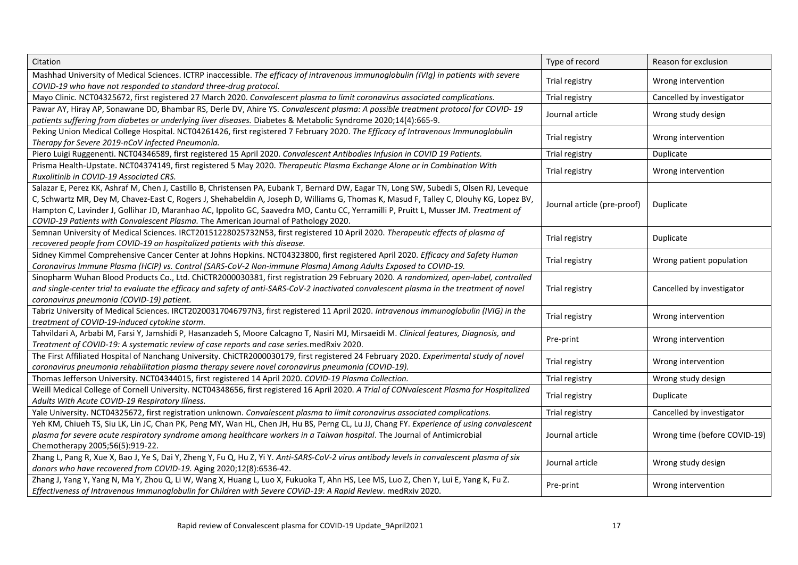| Citation                                                                                                                                                                                                                                                                                                                                                                                                                                                                                                         | Type of record              | Reason for exclusion         |
|------------------------------------------------------------------------------------------------------------------------------------------------------------------------------------------------------------------------------------------------------------------------------------------------------------------------------------------------------------------------------------------------------------------------------------------------------------------------------------------------------------------|-----------------------------|------------------------------|
| Mashhad University of Medical Sciences. ICTRP inaccessible. The efficacy of intravenous immunoglobulin (IVIg) in patients with severe<br>COVID-19 who have not responded to standard three-drug protocol.                                                                                                                                                                                                                                                                                                        | Trial registry              | Wrong intervention           |
| Mayo Clinic. NCT04325672, first registered 27 March 2020. Convalescent plasma to limit coronavirus associated complications.                                                                                                                                                                                                                                                                                                                                                                                     | Trial registry              | Cancelled by investigator    |
| Pawar AY, Hiray AP, Sonawane DD, Bhambar RS, Derle DV, Ahire YS. Convalescent plasma: A possible treatment protocol for COVID-19<br>patients suffering from diabetes or underlying liver diseases. Diabetes & Metabolic Syndrome 2020;14(4):665-9.                                                                                                                                                                                                                                                               | Journal article             | Wrong study design           |
| Peking Union Medical College Hospital. NCT04261426, first registered 7 February 2020. The Efficacy of Intravenous Immunoglobulin<br>Therapy for Severe 2019-nCoV Infected Pneumonia.                                                                                                                                                                                                                                                                                                                             | Trial registry              | Wrong intervention           |
| Piero Luigi Ruggenenti. NCT04346589, first registered 15 April 2020. Convalescent Antibodies Infusion in COVID 19 Patients.                                                                                                                                                                                                                                                                                                                                                                                      | Trial registry              | Duplicate                    |
| Prisma Health-Upstate. NCT04374149, first registered 5 May 2020. Therapeutic Plasma Exchange Alone or in Combination With<br>Ruxolitinib in COVID-19 Associated CRS.                                                                                                                                                                                                                                                                                                                                             | Trial registry              | Wrong intervention           |
| Salazar E, Perez KK, Ashraf M, Chen J, Castillo B, Christensen PA, Eubank T, Bernard DW, Eagar TN, Long SW, Subedi S, Olsen RJ, Leveque<br>C, Schwartz MR, Dey M, Chavez-East C, Rogers J, Shehabeldin A, Joseph D, Williams G, Thomas K, Masud F, Talley C, Dlouhy KG, Lopez BV,<br>Hampton C, Lavinder J, Gollihar JD, Maranhao AC, Ippolito GC, Saavedra MO, Cantu CC, Yerramilli P, Pruitt L, Musser JM. Treatment of<br>COVID-19 Patients with Convalescent Plasma. The American Journal of Pathology 2020. | Journal article (pre-proof) | Duplicate                    |
| Semnan University of Medical Sciences. IRCT20151228025732N53, first registered 10 April 2020. Therapeutic effects of plasma of<br>recovered people from COVID-19 on hospitalized patients with this disease.                                                                                                                                                                                                                                                                                                     | Trial registry              | Duplicate                    |
| Sidney Kimmel Comprehensive Cancer Center at Johns Hopkins. NCT04323800, first registered April 2020. Efficacy and Safety Human<br>Coronavirus Immune Plasma (HCIP) vs. Control (SARS-CoV-2 Non-immune Plasma) Among Adults Exposed to COVID-19.                                                                                                                                                                                                                                                                 | Trial registry              | Wrong patient population     |
| Sinopharm Wuhan Blood Products Co., Ltd. ChiCTR2000030381, first registration 29 February 2020. A randomized, open-label, controlled<br>and single-center trial to evaluate the efficacy and safety of anti-SARS-CoV-2 inactivated convalescent plasma in the treatment of novel<br>coronavirus pneumonia (COVID-19) patient.                                                                                                                                                                                    | Trial registry              | Cancelled by investigator    |
| Tabriz University of Medical Sciences. IRCT20200317046797N3, first registered 11 April 2020. Intravenous immunoglobulin (IVIG) in the<br>treatment of COVID-19-induced cytokine storm.                                                                                                                                                                                                                                                                                                                           | Trial registry              | Wrong intervention           |
| Tahvildari A, Arbabi M, Farsi Y, Jamshidi P, Hasanzadeh S, Moore Calcagno T, Nasiri MJ, Mirsaeidi M. Clinical features, Diagnosis, and<br>Treatment of COVID-19: A systematic review of case reports and case series.medRxiv 2020.                                                                                                                                                                                                                                                                               | Pre-print                   | Wrong intervention           |
| The First Affiliated Hospital of Nanchang University. ChiCTR2000030179, first registered 24 February 2020. Experimental study of novel<br>coronavirus pneumonia rehabilitation plasma therapy severe novel coronavirus pneumonia (COVID-19).                                                                                                                                                                                                                                                                     | Trial registry              | Wrong intervention           |
| Thomas Jefferson University. NCT04344015, first registered 14 April 2020. COVID-19 Plasma Collection.                                                                                                                                                                                                                                                                                                                                                                                                            | Trial registry              | Wrong study design           |
| Weill Medical College of Cornell University. NCT04348656, first registered 16 April 2020. A Trial of CONvalescent Plasma for Hospitalized<br>Adults With Acute COVID-19 Respiratory Illness.                                                                                                                                                                                                                                                                                                                     | Trial registry              | Duplicate                    |
| Yale University. NCT04325672, first registration unknown. Convalescent plasma to limit coronavirus associated complications.                                                                                                                                                                                                                                                                                                                                                                                     | Trial registry              | Cancelled by investigator    |
| Yeh KM, Chiueh TS, Siu LK, Lin JC, Chan PK, Peng MY, Wan HL, Chen JH, Hu BS, Perng CL, Lu JJ, Chang FY. Experience of using convalescent<br>plasma for severe acute respiratory syndrome among healthcare workers in a Taiwan hospital. The Journal of Antimicrobial<br>Chemotherapy 2005;56(5):919-22.                                                                                                                                                                                                          | Journal article             | Wrong time (before COVID-19) |
| Zhang L, Pang R, Xue X, Bao J, Ye S, Dai Y, Zheng Y, Fu Q, Hu Z, Yi Y. Anti-SARS-CoV-2 virus antibody levels in convalescent plasma of six<br>donors who have recovered from COVID-19. Aging 2020;12(8):6536-42.                                                                                                                                                                                                                                                                                                 | Journal article             | Wrong study design           |
| Zhang J, Yang Y, Yang N, Ma Y, Zhou Q, Li W, Wang X, Huang L, Luo X, Fukuoka T, Ahn HS, Lee MS, Luo Z, Chen Y, Lui E, Yang K, Fu Z.<br>Effectiveness of Intravenous Immunoglobulin for Children with Severe COVID-19: A Rapid Review. medRxiv 2020.                                                                                                                                                                                                                                                              | Pre-print                   | Wrong intervention           |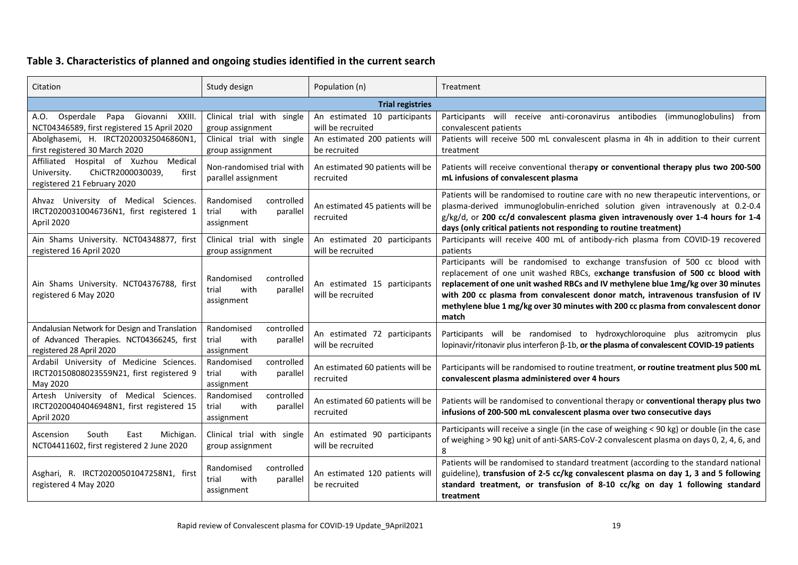# **Table 3. Characteristics of planned and ongoing studies identified in the current search**

| Citation                                                                                                                                                                                                           | Study design                                                        | Population (n)                                    | Treatment                                                                                                                                                                                                                                                                                                                                                                                                                           |  |  |
|--------------------------------------------------------------------------------------------------------------------------------------------------------------------------------------------------------------------|---------------------------------------------------------------------|---------------------------------------------------|-------------------------------------------------------------------------------------------------------------------------------------------------------------------------------------------------------------------------------------------------------------------------------------------------------------------------------------------------------------------------------------------------------------------------------------|--|--|
|                                                                                                                                                                                                                    |                                                                     | <b>Trial registries</b>                           |                                                                                                                                                                                                                                                                                                                                                                                                                                     |  |  |
| A.O. Osperdale<br>Papa Giovanni XXIII.<br>NCT04346589, first registered 15 April 2020                                                                                                                              | Clinical trial with single<br>group assignment                      | An estimated 10 participants<br>will be recruited | Participants will receive anti-coronavirus antibodies (immunoglobulins) from<br>convalescent patients                                                                                                                                                                                                                                                                                                                               |  |  |
| Abolghasemi, H. IRCT20200325046860N1,<br>first registered 30 March 2020                                                                                                                                            | Clinical trial with single<br>group assignment                      | An estimated 200 patients will<br>be recruited    | Patients will receive 500 mL convalescent plasma in 4h in addition to their current<br>treatment                                                                                                                                                                                                                                                                                                                                    |  |  |
| Affiliated Hospital of Xuzhou Medical<br>ChiCTR2000030039,<br>first<br>University.<br>registered 21 February 2020                                                                                                  | Non-randomised trial with<br>parallel assignment                    | An estimated 90 patients will be<br>recruited     | Patients will receive conventional therapy or conventional therapy plus two 200-500<br>mL infusions of convalescent plasma                                                                                                                                                                                                                                                                                                          |  |  |
| Ahvaz University of Medical Sciences.<br>Randomised<br>controlled<br>IRCT20200310046736N1, first registered 1<br>trial<br>with<br>parallel<br>April 2020<br>assignment                                             |                                                                     | An estimated 45 patients will be<br>recruited     | Patients will be randomised to routine care with no new therapeutic interventions, or<br>plasma-derived immunoglobulin-enriched solution given intravenously at 0.2-0.4<br>g/kg/d, or 200 cc/d convalescent plasma given intravenously over 1-4 hours for 1-4<br>days (only critical patients not responding to routine treatment)                                                                                                  |  |  |
| Ain Shams University. NCT04348877, first<br>registered 16 April 2020                                                                                                                                               | Clinical trial with single<br>group assignment                      | An estimated 20 participants<br>will be recruited | Participants will receive 400 mL of antibody-rich plasma from COVID-19 recovered<br>patients                                                                                                                                                                                                                                                                                                                                        |  |  |
| Ain Shams University. NCT04376788, first<br>registered 6 May 2020                                                                                                                                                  | controlled<br>Randomised<br>with<br>parallel<br>trial<br>assignment | An estimated 15 participants<br>will be recruited | Participants will be randomised to exchange transfusion of 500 cc blood with<br>replacement of one unit washed RBCs, exchange transfusion of 500 cc blood with<br>replacement of one unit washed RBCs and IV methylene blue 1mg/kg over 30 minutes<br>with 200 cc plasma from convalescent donor match, intravenous transfusion of IV<br>methylene blue 1 mg/kg over 30 minutes with 200 cc plasma from convalescent donor<br>match |  |  |
| Andalusian Network for Design and Translation<br>Randomised<br>controlled<br>of Advanced Therapies. NCT04366245, first<br>trial<br>with<br>parallel<br>will be recruited<br>registered 28 April 2020<br>assignment |                                                                     | An estimated 72 participants                      | Participants will be randomised to hydroxychloroquine plus azitromycin plus<br>lopinavir/ritonavir plus interferon β-1b, or the plasma of convalescent COVID-19 patients                                                                                                                                                                                                                                                            |  |  |
| Ardabil University of Medicine Sciences.<br>Randomised<br>controlled<br>IRCT20150808023559N21, first registered 9<br>trial<br>with<br>parallel<br>recruited<br>May 2020<br>assignment                              |                                                                     | An estimated 60 patients will be                  | Participants will be randomised to routine treatment, or routine treatment plus 500 mL<br>convalescent plasma administered over 4 hours                                                                                                                                                                                                                                                                                             |  |  |
| Artesh University of Medical Sciences.<br>IRCT20200404046948N1, first registered 15<br>April 2020                                                                                                                  | Randomised<br>controlled<br>trial<br>with<br>parallel<br>assignment | An estimated 60 patients will be<br>recruited     | Patients will be randomised to conventional therapy or conventional therapy plus two<br>infusions of 200-500 mL convalescent plasma over two consecutive days                                                                                                                                                                                                                                                                       |  |  |
| Michigan.<br>Ascension<br>South<br>East<br>NCT04411602, first registered 2 June 2020                                                                                                                               | Clinical trial with single<br>group assignment                      | An estimated 90 participants<br>will be recruited | Participants will receive a single (in the case of weighing < 90 kg) or double (in the case<br>of weighing > 90 kg) unit of anti-SARS-CoV-2 convalescent plasma on days 0, 2, 4, 6, and<br>8                                                                                                                                                                                                                                        |  |  |
| Asghari, R. IRCT20200501047258N1, first<br>registered 4 May 2020                                                                                                                                                   | Randomised<br>controlled<br>trial<br>with<br>parallel<br>assignment | An estimated 120 patients will<br>be recruited    | Patients will be randomised to standard treatment (according to the standard national<br>guideline), transfusion of 2-5 cc/kg convalescent plasma on day 1, 3 and 5 following<br>standard treatment, or transfusion of 8-10 cc/kg on day 1 following standard<br>treatment                                                                                                                                                          |  |  |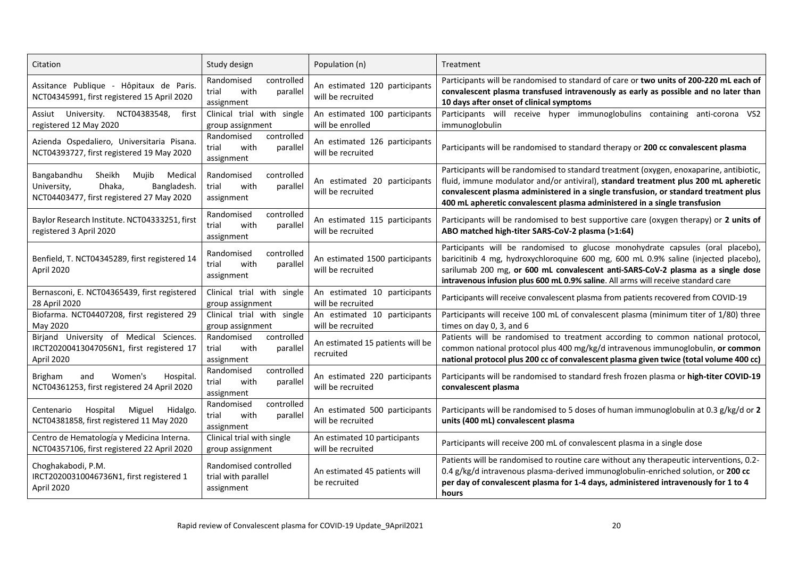| Citation                                                                                                                                                                  | Study design                                                        | Population (n)                                      | Treatment                                                                                                                                                                                                                                                                                                                                           |  |  |
|---------------------------------------------------------------------------------------------------------------------------------------------------------------------------|---------------------------------------------------------------------|-----------------------------------------------------|-----------------------------------------------------------------------------------------------------------------------------------------------------------------------------------------------------------------------------------------------------------------------------------------------------------------------------------------------------|--|--|
| Assitance Publique - Hôpitaux de Paris.<br>NCT04345991, first registered 15 April 2020                                                                                    | Randomised<br>controlled<br>with<br>trial<br>parallel<br>assignment | An estimated 120 participants<br>will be recruited  | Participants will be randomised to standard of care or two units of 200-220 mL each of<br>convalescent plasma transfused intravenously as early as possible and no later than<br>10 days after onset of clinical symptoms                                                                                                                           |  |  |
| University.<br>NCT04383548,<br>Assiut<br>first<br>registered 12 May 2020                                                                                                  | Clinical trial with single<br>group assignment                      | An estimated 100 participants<br>will be enrolled   | Participants will receive hyper immunoglobulins containing anti-corona VS2<br>immunoglobulin                                                                                                                                                                                                                                                        |  |  |
| Azienda Ospedaliero, Universitaria Pisana.<br>NCT04393727, first registered 19 May 2020                                                                                   | controlled<br>Randomised<br>with<br>trial<br>parallel<br>assignment | An estimated 126 participants<br>will be recruited  | Participants will be randomised to standard therapy or 200 cc convalescent plasma                                                                                                                                                                                                                                                                   |  |  |
| Bangabandhu<br>Sheikh<br>Muiib<br>Medical<br>Bangladesh.<br>University,<br>Dhaka,<br>NCT04403477, first registered 27 May 2020                                            | Randomised<br>controlled<br>with<br>trial<br>parallel<br>assignment | An estimated 20 participants<br>will be recruited   | Participants will be randomised to standard treatment (oxygen, enoxaparine, antibiotic,<br>fluid, immune modulator and/or antiviral), standard treatment plus 200 mL apheretic<br>convalescent plasma administered in a single transfusion, or standard treatment plus<br>400 mL apheretic convalescent plasma administered in a single transfusion |  |  |
| Baylor Research Institute. NCT04333251, first<br>registered 3 April 2020                                                                                                  | Randomised<br>controlled<br>with<br>trial<br>parallel<br>assignment | An estimated 115 participants<br>will be recruited  | Participants will be randomised to best supportive care (oxygen therapy) or 2 units of<br>ABO matched high-titer SARS-CoV-2 plasma (>1:64)                                                                                                                                                                                                          |  |  |
| Randomised<br>controlled<br>Benfield, T. NCT04345289, first registered 14<br>with<br>trial<br>parallel<br>April 2020<br>assignment                                        |                                                                     | An estimated 1500 participants<br>will be recruited | Participants will be randomised to glucose monohydrate capsules (oral placebo),<br>baricitinib 4 mg, hydroxychloroquine 600 mg, 600 mL 0.9% saline (injected placebo),<br>sarilumab 200 mg, or 600 mL convalescent anti-SARS-CoV-2 plasma as a single dose<br>intravenous infusion plus 600 mL 0.9% saline. All arms will receive standard care     |  |  |
| Bernasconi, E. NCT04365439, first registered<br>28 April 2020                                                                                                             | Clinical trial with single<br>group assignment                      | An estimated 10 participants<br>will be recruited   | Participants will receive convalescent plasma from patients recovered from COVID-19                                                                                                                                                                                                                                                                 |  |  |
| Biofarma. NCT04407208, first registered 29<br>May 2020                                                                                                                    | Clinical trial with single<br>group assignment                      | An estimated 10 participants<br>will be recruited   | Participants will receive 100 mL of convalescent plasma (minimum titer of 1/80) three<br>times on day 0, 3, and 6                                                                                                                                                                                                                                   |  |  |
| Birjand University of Medical Sciences.<br>controlled<br>Randomised<br>IRCT20200413047056N1, first registered 17<br>trial<br>with<br>parallel<br>April 2020<br>assignment |                                                                     | An estimated 15 patients will be<br>recruited       | Patients will be randomised to treatment according to common national protocol,<br>common national protocol plus 400 mg/kg/d intravenous immunoglobulin, or common<br>national protocol plus 200 cc of convalescent plasma given twice (total volume 400 cc)                                                                                        |  |  |
| Women's<br><b>Brigham</b><br>and<br>Hospital.<br>NCT04361253, first registered 24 April 2020                                                                              | controlled<br>Randomised<br>trial<br>with<br>parallel<br>assignment | An estimated 220 participants<br>will be recruited  | Participants will be randomised to standard fresh frozen plasma or high-titer COVID-19<br>convalescent plasma                                                                                                                                                                                                                                       |  |  |
| Miguel<br>Hidalgo.<br>Centenario<br>Hospital<br>NCT04381858, first registered 11 May 2020                                                                                 | Randomised<br>controlled<br>with<br>trial<br>parallel<br>assignment |                                                     | Participants will be randomised to 5 doses of human immunoglobulin at 0.3 g/kg/d or 2<br>units (400 mL) convalescent plasma                                                                                                                                                                                                                         |  |  |
| Centro de Hematología y Medicina Interna.<br>NCT04357106, first registered 22 April 2020                                                                                  | Clinical trial with single<br>group assignment                      | An estimated 10 participants<br>will be recruited   | Participants will receive 200 mL of convalescent plasma in a single dose                                                                                                                                                                                                                                                                            |  |  |
| Choghakabodi, P.M.<br>IRCT20200310046736N1, first registered 1<br>April 2020                                                                                              | Randomised controlled<br>trial with parallel<br>assignment          | An estimated 45 patients will<br>be recruited       | Patients will be randomised to routine care without any therapeutic interventions, 0.2-<br>0.4 g/kg/d intravenous plasma-derived immunoglobulin-enriched solution, or 200 cc<br>per day of convalescent plasma for 1-4 days, administered intravenously for 1 to 4<br>hours                                                                         |  |  |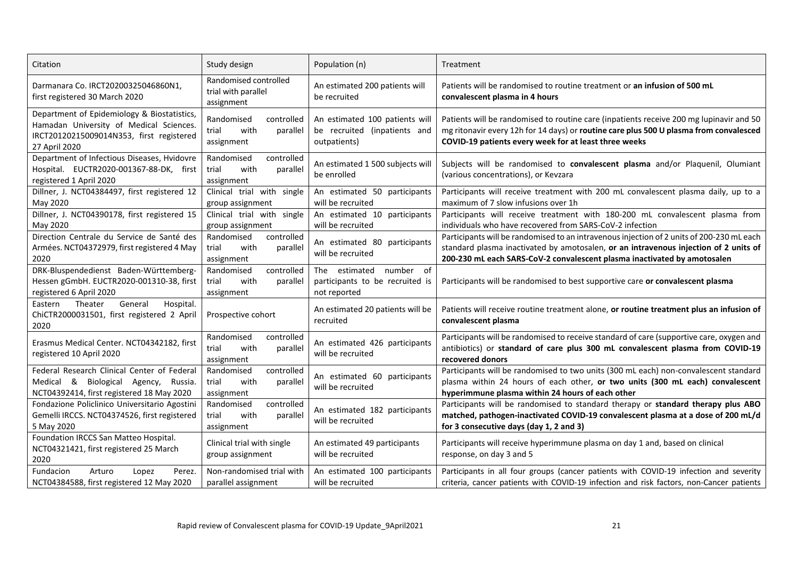| Citation                                                                                                                                            | Study design                                                        | Population (n)                                                                 | Treatment                                                                                                                                                                                                                                                     |  |
|-----------------------------------------------------------------------------------------------------------------------------------------------------|---------------------------------------------------------------------|--------------------------------------------------------------------------------|---------------------------------------------------------------------------------------------------------------------------------------------------------------------------------------------------------------------------------------------------------------|--|
| Darmanara Co. IRCT20200325046860N1,<br>first registered 30 March 2020                                                                               | Randomised controlled<br>trial with parallel<br>assignment          | An estimated 200 patients will<br>be recruited                                 | Patients will be randomised to routine treatment or an infusion of 500 mL<br>convalescent plasma in 4 hours                                                                                                                                                   |  |
| Department of Epidemiology & Biostatistics,<br>Hamadan University of Medical Sciences.<br>IRCT20120215009014N353, first registered<br>27 April 2020 | Randomised<br>controlled<br>with<br>trial<br>parallel<br>assignment | An estimated 100 patients will<br>be recruited (inpatients and<br>outpatients) | Patients will be randomised to routine care (inpatients receive 200 mg lupinavir and 50<br>mg ritonavir every 12h for 14 days) or routine care plus 500 U plasma from convalesced<br>COVID-19 patients every week for at least three weeks                    |  |
| Department of Infectious Diseases, Hvidovre<br>Hospital. EUCTR2020-001367-88-DK, first<br>registered 1 April 2020                                   | controlled<br>Randomised<br>trial<br>with<br>parallel<br>assignment | An estimated 1 500 subjects will<br>be enrolled                                | Subjects will be randomised to convalescent plasma and/or Plaquenil, Olumiant<br>(various concentrations), or Kevzara                                                                                                                                         |  |
| Dillner, J. NCT04384497, first registered 12<br>May 2020                                                                                            | Clinical trial with single<br>group assignment                      | An estimated 50 participants<br>will be recruited                              | Participants will receive treatment with 200 mL convalescent plasma daily, up to a<br>maximum of 7 slow infusions over 1h                                                                                                                                     |  |
| Dillner, J. NCT04390178, first registered 15<br>May 2020                                                                                            | Clinical trial with single<br>group assignment                      | An estimated 10 participants<br>will be recruited                              | Participants will receive treatment with 180-200 mL convalescent plasma from<br>individuals who have recovered from SARS-CoV-2 infection                                                                                                                      |  |
| Direction Centrale du Service de Santé des<br>Armées. NCT04372979, first registered 4 May<br>2020                                                   | Randomised<br>controlled<br>trial<br>with<br>parallel<br>assignment | An estimated 80 participants<br>will be recruited                              | Participants will be randomised to an intravenous injection of 2 units of 200-230 mL each<br>standard plasma inactivated by amotosalen, or an intravenous injection of 2 units of<br>200-230 mL each SARS-CoV-2 convalescent plasma inactivated by amotosalen |  |
| DRK-Bluspendedienst Baden-Württemberg-<br>Hessen gGmbH. EUCTR2020-001310-38, first<br>registered 6 April 2020                                       | Randomised<br>controlled<br>with<br>trial<br>parallel<br>assignment | The estimated<br>number of<br>participants to be recruited is<br>not reported  | Participants will be randomised to best supportive care or convalescent plasma                                                                                                                                                                                |  |
| Theater<br>General<br>Hospital.<br>Eastern<br>ChiCTR2000031501, first registered 2 April<br>2020                                                    | Prospective cohort                                                  | An estimated 20 patients will be<br>recruited                                  | Patients will receive routine treatment alone, or routine treatment plus an infusion of<br>convalescent plasma                                                                                                                                                |  |
| Erasmus Medical Center. NCT04342182, first<br>registered 10 April 2020                                                                              | controlled<br>Randomised<br>trial<br>with<br>parallel<br>assignment | An estimated 426 participants<br>will be recruited                             | Participants will be randomised to receive standard of care (supportive care, oxygen and<br>antibiotics) or standard of care plus 300 mL convalescent plasma from COVID-19<br>recovered donors                                                                |  |
| Federal Research Clinical Center of Federal<br>Medical & Biological Agency,<br>Russia.<br>NCT04392414, first registered 18 May 2020                 | Randomised<br>controlled<br>with<br>trial<br>parallel<br>assignment | An estimated 60 participants<br>will be recruited                              | Participants will be randomised to two units (300 mL each) non-convalescent standard<br>plasma within 24 hours of each other, or two units (300 mL each) convalescent<br>hyperimmune plasma within 24 hours of each other                                     |  |
| Fondazione Policlinico Universitario Agostini<br>Gemelli IRCCS. NCT04374526, first registered<br>5 May 2020                                         | Randomised<br>controlled<br>trial<br>with<br>parallel<br>assignment | An estimated 182 participants<br>will be recruited                             | Participants will be randomised to standard therapy or standard therapy plus ABO<br>matched, pathogen-inactivated COVID-19 convalescent plasma at a dose of 200 mL/d<br>for 3 consecutive days (day 1, 2 and 3)                                               |  |
| Foundation IRCCS San Matteo Hospital.<br>NCT04321421, first registered 25 March<br>2020                                                             | Clinical trial with single<br>group assignment                      | An estimated 49 participants<br>will be recruited                              | Participants will receive hyperimmune plasma on day 1 and, based on clinical<br>response, on day 3 and 5                                                                                                                                                      |  |
| Fundacion<br>Arturo<br>Lopez<br>Perez.<br>NCT04384588, first registered 12 May 2020                                                                 | Non-randomised trial with<br>parallel assignment                    | An estimated 100 participants<br>will be recruited                             | Participants in all four groups (cancer patients with COVID-19 infection and severity<br>criteria, cancer patients with COVID-19 infection and risk factors, non-Cancer patients                                                                              |  |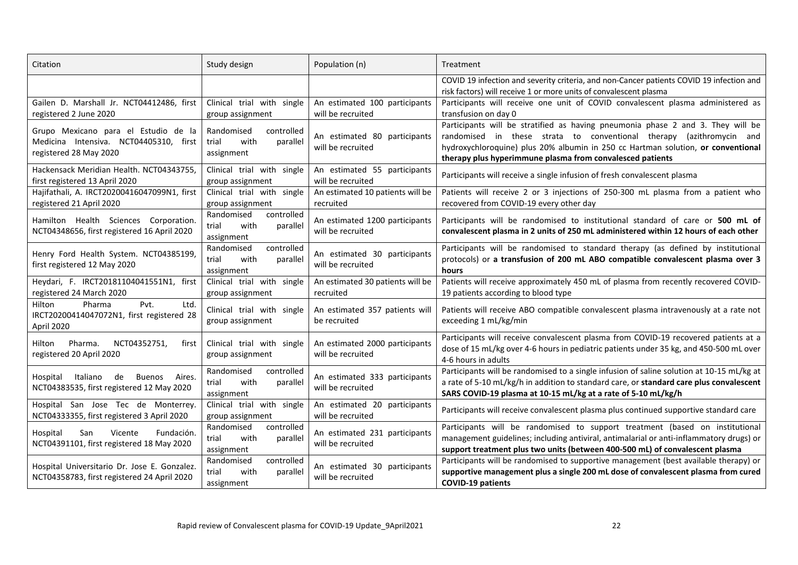| Citation                                                                                                                                                                          | Study design                                                                                        | Population (n)                                      | Treatment                                                                                                                                                                                                                                                                                                |  |  |  |
|-----------------------------------------------------------------------------------------------------------------------------------------------------------------------------------|-----------------------------------------------------------------------------------------------------|-----------------------------------------------------|----------------------------------------------------------------------------------------------------------------------------------------------------------------------------------------------------------------------------------------------------------------------------------------------------------|--|--|--|
|                                                                                                                                                                                   |                                                                                                     |                                                     | COVID 19 infection and severity criteria, and non-Cancer patients COVID 19 infection and<br>risk factors) will receive 1 or more units of convalescent plasma                                                                                                                                            |  |  |  |
| Gailen D. Marshall Jr. NCT04412486, first<br>registered 2 June 2020                                                                                                               | Clinical trial with single<br>group assignment                                                      | An estimated 100 participants<br>will be recruited  | Participants will receive one unit of COVID convalescent plasma administered as<br>transfusion on day 0                                                                                                                                                                                                  |  |  |  |
| Grupo Mexicano para el Estudio de la<br>Medicina Intensiva. NCT04405310, first<br>registered 28 May 2020                                                                          | controlled<br>Randomised<br>trial<br>with<br>parallel<br>assignment                                 | An estimated 80 participants<br>will be recruited   | Participants will be stratified as having pneumonia phase 2 and 3. They will be<br>randomised in these strata to conventional therapy (azithromycin and<br>hydroxychloroquine) plus 20% albumin in 250 cc Hartman solution, or conventional<br>therapy plus hyperimmune plasma from convalesced patients |  |  |  |
| Hackensack Meridian Health, NCT04343755.<br>first registered 13 April 2020                                                                                                        | Clinical trial with single<br>group assignment                                                      | An estimated 55 participants<br>will be recruited   | Participants will receive a single infusion of fresh convalescent plasma                                                                                                                                                                                                                                 |  |  |  |
| Hajifathali, A. IRCT20200416047099N1, first<br>registered 21 April 2020                                                                                                           | Clinical trial with single<br>group assignment                                                      | An estimated 10 patients will be<br>recruited       | Patients will receive 2 or 3 injections of 250-300 mL plasma from a patient who<br>recovered from COVID-19 every other day                                                                                                                                                                               |  |  |  |
| Hamilton Health Sciences Corporation.<br>NCT04348656, first registered 16 April 2020                                                                                              | controlled<br>Randomised<br>with<br>trial<br>parallel<br>assignment                                 | An estimated 1200 participants<br>will be recruited | Participants will be randomised to institutional standard of care or 500 mL of<br>convalescent plasma in 2 units of 250 mL administered within 12 hours of each other                                                                                                                                    |  |  |  |
| Henry Ford Health System. NCT04385199,<br>first registered 12 May 2020                                                                                                            | Randomised<br>controlled<br>with<br>trial<br>parallel<br>assignment                                 | An estimated 30 participants<br>will be recruited   | Participants will be randomised to standard therapy (as defined by institutional<br>protocols) or a transfusion of 200 mL ABO compatible convalescent plasma over 3<br>hours                                                                                                                             |  |  |  |
| Heydari, F. IRCT20181104041551N1, first<br>registered 24 March 2020                                                                                                               | Clinical trial with single<br>group assignment                                                      | An estimated 30 patients will be<br>recruited       | Patients will receive approximately 450 mL of plasma from recently recovered COVID-<br>19 patients according to blood type                                                                                                                                                                               |  |  |  |
| Ltd.<br>Pvt.<br>Hilton<br>Pharma<br>IRCT20200414047072N1, first registered 28<br>April 2020                                                                                       | Clinical trial with single<br>group assignment                                                      | An estimated 357 patients will<br>be recruited      | Patients will receive ABO compatible convalescent plasma intravenously at a rate not<br>exceeding 1 mL/kg/min                                                                                                                                                                                            |  |  |  |
| Pharma.<br>NCT04352751.<br>Hilton<br>first<br>registered 20 April 2020                                                                                                            | Clinical trial with single<br>group assignment                                                      | An estimated 2000 participants<br>will be recruited | Participants will receive convalescent plasma from COVID-19 recovered patients at a<br>dose of 15 mL/kg over 4-6 hours in pediatric patients under 35 kg, and 450-500 mL over<br>4-6 hours in adults                                                                                                     |  |  |  |
| Randomised<br>controlled<br>Hospital<br>Italiano<br>de<br>Buenos<br>Aires.<br>trial<br>with<br>NCT04383535, first registered 12 May 2020<br>assignment                            |                                                                                                     | An estimated 333 participants<br>will be recruited  | Participants will be randomised to a single infusion of saline solution at 10-15 mL/kg at<br>a rate of 5-10 mL/kg/h in addition to standard care, or standard care plus convalescent<br>SARS COVID-19 plasma at 10-15 mL/kg at a rate of 5-10 mL/kg/h                                                    |  |  |  |
| Hospital San Jose Tec de Monterrey.<br>NCT04333355, first registered 3 April 2020                                                                                                 | Clinical trial with single<br>An estimated 20 participants<br>will be recruited<br>group assignment |                                                     | Participants will receive convalescent plasma plus continued supportive standard care                                                                                                                                                                                                                    |  |  |  |
| Randomised<br>controlled<br>Hospital<br>San<br>Vicente<br>Fundación.<br>with<br>parallel<br>trial<br>NCT04391101, first registered 18 May 2020<br>will be recruited<br>assignment |                                                                                                     | An estimated 231 participants                       | Participants will be randomised to support treatment (based on institutional<br>management guidelines; including antiviral, antimalarial or anti-inflammatory drugs) or<br>support treatment plus two units (between 400-500 mL) of convalescent plasma                                                  |  |  |  |
| Hospital Universitario Dr. Jose E. Gonzalez.<br>NCT04358783, first registered 24 April 2020                                                                                       | Randomised<br>controlled<br>with<br>parallel<br>trial<br>assignment                                 | An estimated 30 participants<br>will be recruited   | Participants will be randomised to supportive management (best available therapy) or<br>supportive management plus a single 200 mL dose of convalescent plasma from cured<br><b>COVID-19 patients</b>                                                                                                    |  |  |  |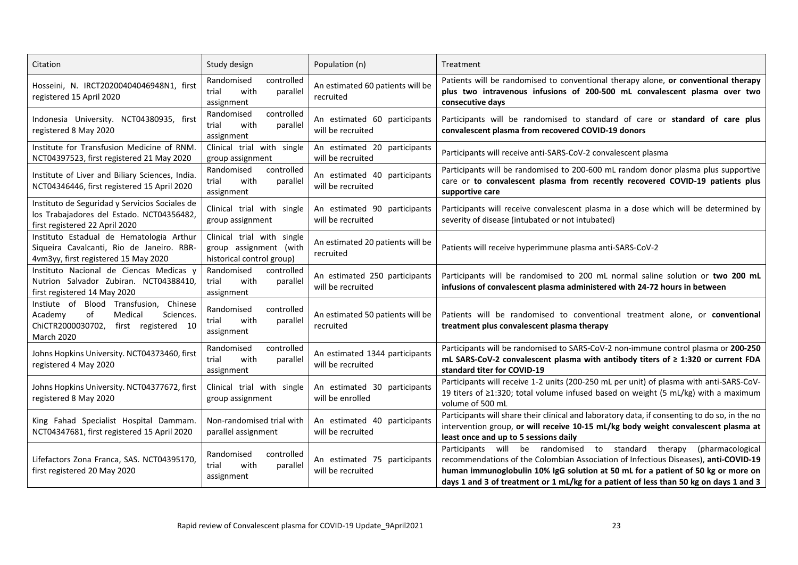| Citation                                                                                                                                                               | Study design                                                                      | Population (n)                                      | Treatment                                                                                                                                                                                                                                                                                                                                   |  |  |  |
|------------------------------------------------------------------------------------------------------------------------------------------------------------------------|-----------------------------------------------------------------------------------|-----------------------------------------------------|---------------------------------------------------------------------------------------------------------------------------------------------------------------------------------------------------------------------------------------------------------------------------------------------------------------------------------------------|--|--|--|
| Hosseini, N. IRCT20200404046948N1, first<br>registered 15 April 2020                                                                                                   | Randomised<br>controlled<br>trial<br>with<br>parallel<br>assignment               | An estimated 60 patients will be<br>recruited       | Patients will be randomised to conventional therapy alone, or conventional therapy<br>plus two intravenous infusions of 200-500 mL convalescent plasma over two<br>consecutive days                                                                                                                                                         |  |  |  |
| Indonesia University. NCT04380935, first<br>registered 8 May 2020                                                                                                      | Randomised<br>controlled<br>with<br>trial<br>parallel<br>assignment               | An estimated 60 participants<br>will be recruited   | Participants will be randomised to standard of care or standard of care plus<br>convalescent plasma from recovered COVID-19 donors                                                                                                                                                                                                          |  |  |  |
| Institute for Transfusion Medicine of RNM.<br>NCT04397523, first registered 21 May 2020                                                                                | Clinical trial with single<br>group assignment                                    | An estimated 20 participants<br>will be recruited   | Participants will receive anti-SARS-CoV-2 convalescent plasma                                                                                                                                                                                                                                                                               |  |  |  |
| Institute of Liver and Biliary Sciences, India.<br>NCT04346446, first registered 15 April 2020                                                                         | controlled<br>Randomised<br>with<br>parallel<br>trial<br>assignment               | An estimated 40 participants<br>will be recruited   | Participants will be randomised to 200-600 mL random donor plasma plus supportive<br>care or to convalescent plasma from recently recovered COVID-19 patients plus<br>supportive care                                                                                                                                                       |  |  |  |
| Instituto de Seguridad y Servicios Sociales de<br>los Trabajadores del Estado. NCT04356482,<br>first registered 22 April 2020                                          | Clinical trial with single<br>group assignment                                    | An estimated 90 participants<br>will be recruited   | Participants will receive convalescent plasma in a dose which will be determined by<br>severity of disease (intubated or not intubated)                                                                                                                                                                                                     |  |  |  |
| Instituto Estadual de Hematologia Arthur<br>Siqueira Cavalcanti, Rio de Janeiro. RBR-<br>4vm3yy, first registered 15 May 2020                                          | Clinical trial with single<br>group assignment (with<br>historical control group) | An estimated 20 patients will be<br>recruited       | Patients will receive hyperimmune plasma anti-SARS-CoV-2                                                                                                                                                                                                                                                                                    |  |  |  |
| Instituto Nacional de Ciencas Medicas y<br>Nutrion Salvador Zubiran. NCT04388410,<br>first registered 14 May 2020                                                      | Randomised<br>controlled<br>with<br>parallel<br>trial<br>assignment               | An estimated 250 participants<br>will be recruited  | Participants will be randomised to 200 mL normal saline solution or two 200 mL<br>infusions of convalescent plasma administered with 24-72 hours in between                                                                                                                                                                                 |  |  |  |
| Instiute of Blood Transfusion, Chinese<br>Medical<br>of<br>Sciences.<br>Academy<br>ChiCTR2000030702, first registered 10<br><b>March 2020</b>                          | controlled<br>Randomised<br>with<br>parallel<br>trial<br>assignment               | An estimated 50 patients will be<br>recruited       | Patients will be randomised to conventional treatment alone, or conventional<br>treatment plus convalescent plasma therapy                                                                                                                                                                                                                  |  |  |  |
| Johns Hopkins University. NCT04373460, first<br>registered 4 May 2020                                                                                                  | controlled<br>Randomised<br>trial<br>with<br>parallel<br>assignment               | An estimated 1344 participants<br>will be recruited | Participants will be randomised to SARS-CoV-2 non-immune control plasma or 200-250<br>mL SARS-CoV-2 convalescent plasma with antibody titers of ≥ 1:320 or current FDA<br>standard titer for COVID-19                                                                                                                                       |  |  |  |
| Johns Hopkins University. NCT04377672, first<br>registered 8 May 2020                                                                                                  | Clinical trial with single<br>group assignment                                    | An estimated 30 participants<br>will be enrolled    | Participants will receive 1-2 units (200-250 mL per unit) of plasma with anti-SARS-CoV-<br>19 titers of $\geq$ 1:320; total volume infused based on weight (5 mL/kg) with a maximum<br>volume of 500 mL                                                                                                                                     |  |  |  |
| King Fahad Specialist Hospital Dammam.<br>NCT04347681, first registered 15 April 2020                                                                                  | Non-randomised trial with<br>parallel assignment                                  | An estimated 40 participants<br>will be recruited   | Participants will share their clinical and laboratory data, if consenting to do so, in the no<br>intervention group, or will receive 10-15 mL/kg body weight convalescent plasma at<br>least once and up to 5 sessions daily                                                                                                                |  |  |  |
| Randomised<br>controlled<br>Lifefactors Zona Franca, SAS. NCT04395170,<br>trial<br>with<br>parallel<br>first registered 20 May 2020<br>will be recruited<br>assignment |                                                                                   | An estimated 75 participants                        | Participants will be randomised to standard therapy<br>(pharmacological<br>recommendations of the Colombian Association of Infectious Diseases), anti-COVID-19<br>human immunoglobulin 10% IgG solution at 50 mL for a patient of 50 kg or more on<br>days 1 and 3 of treatment or 1 mL/kg for a patient of less than 50 kg on days 1 and 3 |  |  |  |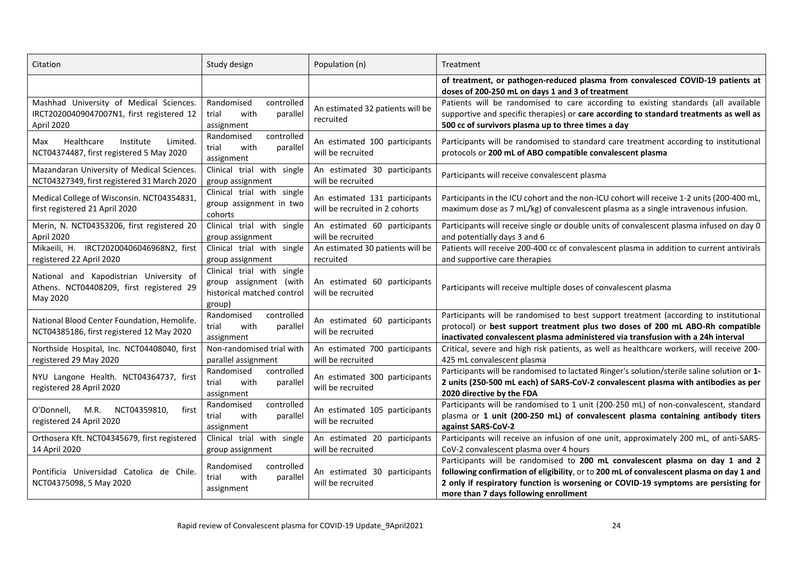| Citation                                                                                                                                       | Study design                                                                                 | Population (n)                                                  | Treatment                                                                                                                                                                                                                                                                                               |  |  |  |  |
|------------------------------------------------------------------------------------------------------------------------------------------------|----------------------------------------------------------------------------------------------|-----------------------------------------------------------------|---------------------------------------------------------------------------------------------------------------------------------------------------------------------------------------------------------------------------------------------------------------------------------------------------------|--|--|--|--|
|                                                                                                                                                |                                                                                              |                                                                 | of treatment, or pathogen-reduced plasma from convalesced COVID-19 patients at<br>doses of 200-250 mL on days 1 and 3 of treatment                                                                                                                                                                      |  |  |  |  |
| Mashhad University of Medical Sciences.<br>IRCT20200409047007N1, first registered 12<br>April 2020                                             | Randomised<br>controlled<br>with<br>trial<br>parallel<br>assignment                          | An estimated 32 patients will be<br>recruited                   | Patients will be randomised to care according to existing standards (all available<br>supportive and specific therapies) or care according to standard treatments as well as<br>500 cc of survivors plasma up to three times a day                                                                      |  |  |  |  |
| Healthcare<br>Institute<br>Limited.<br>Max<br>NCT04374487, first registered 5 May 2020                                                         | Randomised<br>controlled<br>with<br>trial<br>parallel<br>assignment                          | An estimated 100 participants<br>will be recruited              | Participants will be randomised to standard care treatment according to institutional<br>protocols or 200 mL of ABO compatible convalescent plasma                                                                                                                                                      |  |  |  |  |
| Mazandaran University of Medical Sciences.<br>NCT04327349, first registered 31 March 2020                                                      | Clinical trial with single<br>group assignment                                               | An estimated 30 participants<br>will be recruited               | Participants will receive convalescent plasma                                                                                                                                                                                                                                                           |  |  |  |  |
| Medical College of Wisconsin. NCT04354831,<br>first registered 21 April 2020                                                                   | Clinical trial with single<br>group assignment in two<br>cohorts                             | An estimated 131 participants<br>will be recruited in 2 cohorts | Participants in the ICU cohort and the non-ICU cohort will receive 1-2 units (200-400 mL,<br>maximum dose as 7 mL/kg) of convalescent plasma as a single intravenous infusion.                                                                                                                          |  |  |  |  |
| Merin, N. NCT04353206, first registered 20<br>April 2020                                                                                       | Clinical trial with single<br>group assignment                                               | An estimated 60 participants<br>will be recruited               | Participants will receive single or double units of convalescent plasma infused on day 0<br>and potentially days 3 and 6                                                                                                                                                                                |  |  |  |  |
| Mikaeili, H. IRCT20200406046968N2, first<br>registered 22 April 2020                                                                           | Clinical trial with single<br>group assignment                                               | An estimated 30 patients will be<br>recruited                   | Patients will receive 200-400 cc of convalescent plasma in addition to current antivirals<br>and supportive care therapies                                                                                                                                                                              |  |  |  |  |
| National and Kapodistrian University of<br>Athens. NCT04408209, first registered 29<br>May 2020                                                | Clinical trial with single<br>group assignment (with<br>historical matched control<br>group) | An estimated 60 participants<br>will be recruited               | Participants will receive multiple doses of convalescent plasma                                                                                                                                                                                                                                         |  |  |  |  |
| National Blood Center Foundation, Hemolife.<br>NCT04385186, first registered 12 May 2020                                                       | controlled<br>Randomised<br>with<br>trial<br>parallel<br>assignment                          | An estimated 60 participants<br>will be recruited               | Participants will be randomised to best support treatment (according to institutional<br>protocol) or best support treatment plus two doses of 200 mL ABO-Rh compatible<br>inactivated convalescent plasma administered via transfusion with a 24h interval                                             |  |  |  |  |
| Northside Hospital, Inc. NCT04408040, first<br>registered 29 May 2020                                                                          | Non-randomised trial with<br>parallel assignment                                             | An estimated 700 participants<br>will be recruited              | Critical, severe and high risk patients, as well as healthcare workers, will receive 200-<br>425 mL convalescent plasma                                                                                                                                                                                 |  |  |  |  |
| NYU Langone Health. NCT04364737, first<br>registered 28 April 2020                                                                             | Randomised<br>controlled<br>with<br>trial<br>parallel<br>assignment                          | An estimated 300 participants<br>will be recruited              | Participants will be randomised to lactated Ringer's solution/sterile saline solution or 1-<br>2 units (250-500 mL each) of SARS-CoV-2 convalescent plasma with antibodies as per<br>2020 directive by the FDA                                                                                          |  |  |  |  |
| controlled<br>Randomised<br>O'Donnell,<br>M.R.<br>NCT04359810,<br>first<br>with<br>trial<br>parallel<br>registered 24 April 2020<br>assignment |                                                                                              | An estimated 105 participants<br>will be recruited              | Participants will be randomised to 1 unit (200-250 mL) of non-convalescent, standard<br>plasma or 1 unit (200-250 mL) of convalescent plasma containing antibody titers<br>against SARS-CoV-2                                                                                                           |  |  |  |  |
| Orthosera Kft. NCT04345679, first registered<br>14 April 2020                                                                                  | Clinical trial with single<br>group assignment                                               | An estimated 20 participants<br>will be recruited               | Participants will receive an infusion of one unit, approximately 200 mL, of anti-SARS-<br>CoV-2 convalescent plasma over 4 hours                                                                                                                                                                        |  |  |  |  |
| Pontificia Universidad Catolica de Chile.<br>NCT04375098, 5 May 2020                                                                           | Randomised<br>controlled<br>with<br>trial<br>parallel<br>assignment                          | An estimated 30 participants<br>will be recruited               | Participants will be randomised to 200 mL convalescent plasma on day 1 and 2<br>following confirmation of eligibility, or to 200 mL of convalescent plasma on day 1 and<br>2 only if respiratory function is worsening or COVID-19 symptoms are persisting for<br>more than 7 days following enrollment |  |  |  |  |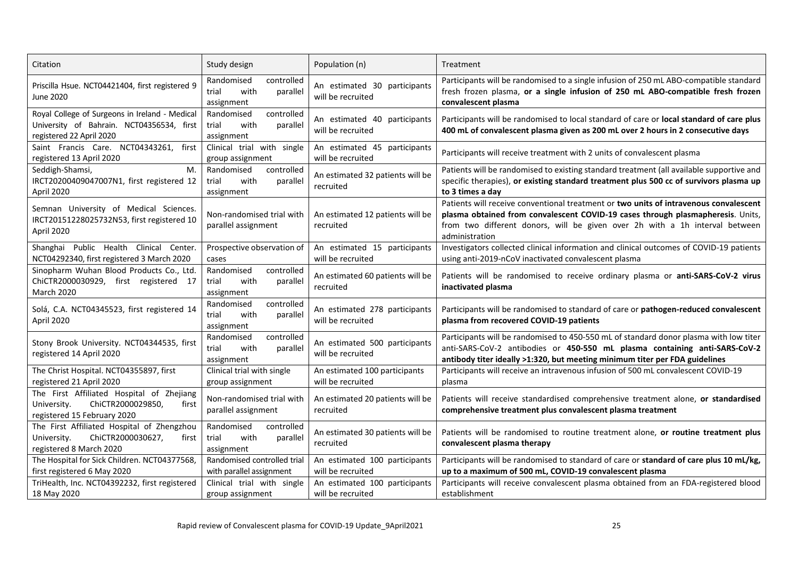| Citation                                                                                                                | Study design                                                        | Population (n)                                     | Treatment                                                                                                                                                                                                                                                                 |  |  |
|-------------------------------------------------------------------------------------------------------------------------|---------------------------------------------------------------------|----------------------------------------------------|---------------------------------------------------------------------------------------------------------------------------------------------------------------------------------------------------------------------------------------------------------------------------|--|--|
| Priscilla Hsue. NCT04421404, first registered 9<br>June 2020                                                            | Randomised<br>controlled<br>with<br>trial<br>parallel<br>assignment | An estimated 30 participants<br>will be recruited  | Participants will be randomised to a single infusion of 250 mL ABO-compatible standard<br>fresh frozen plasma, or a single infusion of 250 mL ABO-compatible fresh frozen<br>convalescent plasma                                                                          |  |  |
| Royal College of Surgeons in Ireland - Medical<br>University of Bahrain. NCT04356534, first<br>registered 22 April 2020 | Randomised<br>controlled<br>trial<br>with<br>parallel<br>assignment | An estimated 40 participants<br>will be recruited  | Participants will be randomised to local standard of care or local standard of care plus<br>400 mL of convalescent plasma given as 200 mL over 2 hours in 2 consecutive days                                                                                              |  |  |
| Saint Francis Care. NCT04343261,<br>first<br>registered 13 April 2020                                                   | Clinical trial with single<br>group assignment                      | An estimated 45 participants<br>will be recruited  | Participants will receive treatment with 2 units of convalescent plasma                                                                                                                                                                                                   |  |  |
| Seddigh-Shamsi,<br>M.<br>IRCT20200409047007N1, first registered 12<br>April 2020                                        | controlled<br>Randomised<br>with<br>trial<br>parallel<br>assignment | An estimated 32 patients will be<br>recruited      | Patients will be randomised to existing standard treatment (all available supportive and<br>specific therapies), or existing standard treatment plus 500 cc of survivors plasma up<br>to 3 times a day                                                                    |  |  |
| Semnan University of Medical Sciences.<br>IRCT20151228025732N53, first registered 10<br>April 2020                      | Non-randomised trial with<br>parallel assignment                    | An estimated 12 patients will be<br>recruited      | Patients will receive conventional treatment or two units of intravenous convalescent<br>plasma obtained from convalescent COVID-19 cases through plasmapheresis. Units,<br>from two different donors, will be given over 2h with a 1h interval between<br>administration |  |  |
| Shanghai Public Health Clinical Center.<br>NCT04292340, first registered 3 March 2020                                   | Prospective observation of<br>cases                                 | An estimated 15 participants<br>will be recruited  | Investigators collected clinical information and clinical outcomes of COVID-19 patients<br>using anti-2019-nCoV inactivated convalescent plasma                                                                                                                           |  |  |
| Sinopharm Wuhan Blood Products Co., Ltd.<br>ChiCTR2000030929, first registered 17<br><b>March 2020</b>                  | Randomised<br>controlled<br>trial<br>with<br>parallel<br>assignment | An estimated 60 patients will be<br>recruited      | Patients will be randomised to receive ordinary plasma or anti-SARS-CoV-2 virus<br>inactivated plasma                                                                                                                                                                     |  |  |
| Solá, C.A. NCT04345523, first registered 14<br>April 2020                                                               | controlled<br>Randomised<br>trial<br>with<br>parallel<br>assignment | An estimated 278 participants<br>will be recruited | Participants will be randomised to standard of care or pathogen-reduced convalescent<br>plasma from recovered COVID-19 patients                                                                                                                                           |  |  |
| Stony Brook University. NCT04344535, first<br>registered 14 April 2020                                                  | Randomised<br>controlled<br>with<br>trial<br>parallel<br>assignment | An estimated 500 participants<br>will be recruited | Participants will be randomised to 450-550 mL of standard donor plasma with low titer<br>anti-SARS-CoV-2 antibodies or 450-550 mL plasma containing anti-SARS-CoV-2<br>antibody titer ideally >1:320, but meeting minimum titer per FDA guidelines                        |  |  |
| The Christ Hospital. NCT04355897, first<br>registered 21 April 2020                                                     | Clinical trial with single<br>group assignment                      | An estimated 100 participants<br>will be recruited | Participants will receive an intravenous infusion of 500 mL convalescent COVID-19<br>plasma                                                                                                                                                                               |  |  |
| The First Affiliated Hospital of Zhejiang<br>ChiCTR2000029850,<br>University.<br>first<br>registered 15 February 2020   | Non-randomised trial with<br>parallel assignment                    | An estimated 20 patients will be<br>recruited      | Patients will receive standardised comprehensive treatment alone, or standardised<br>comprehensive treatment plus convalescent plasma treatment                                                                                                                           |  |  |
| The First Affiliated Hospital of Zhengzhou<br>ChiCTR2000030627,<br>University.<br>first<br>registered 8 March 2020      | Randomised<br>controlled<br>trial<br>with<br>parallel<br>assignment | An estimated 30 patients will be<br>recruited      | Patients will be randomised to routine treatment alone, or routine treatment plus<br>convalescent plasma therapy                                                                                                                                                          |  |  |
| The Hospital for Sick Children. NCT04377568,<br>first registered 6 May 2020                                             | Randomised controlled trial<br>with parallel assignment             | An estimated 100 participants<br>will be recruited | Participants will be randomised to standard of care or standard of care plus 10 mL/kg,<br>up to a maximum of 500 mL, COVID-19 convalescent plasma                                                                                                                         |  |  |
| TriHealth, Inc. NCT04392232, first registered<br>18 May 2020                                                            | Clinical trial with single<br>group assignment                      | An estimated 100 participants<br>will be recruited | Participants will receive convalescent plasma obtained from an FDA-registered blood<br>establishment                                                                                                                                                                      |  |  |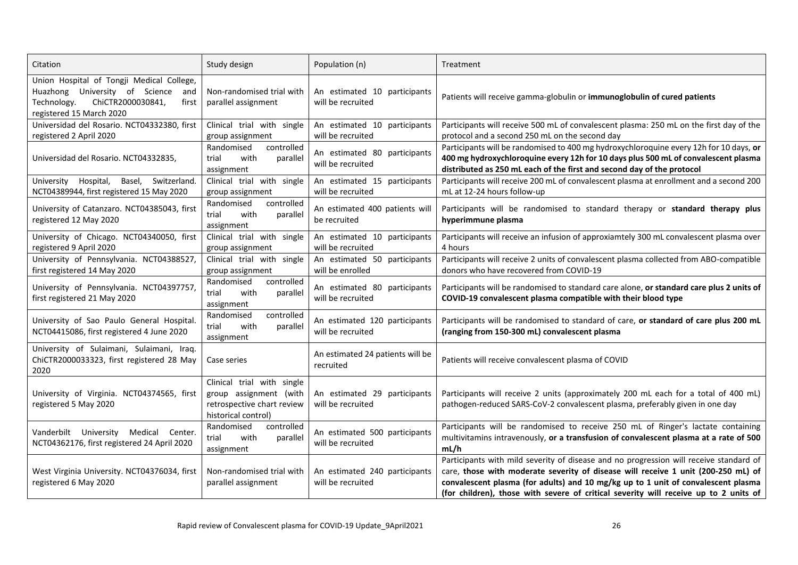| Citation                                                                                                                                                    | Study design                                                                                              | Population (n)                                     | Treatment                                                                                                                                                                                                                                                                                                                                                |  |  |  |  |
|-------------------------------------------------------------------------------------------------------------------------------------------------------------|-----------------------------------------------------------------------------------------------------------|----------------------------------------------------|----------------------------------------------------------------------------------------------------------------------------------------------------------------------------------------------------------------------------------------------------------------------------------------------------------------------------------------------------------|--|--|--|--|
| Union Hospital of Tongji Medical College,<br>Huazhong University of Science<br>and<br>ChiCTR2000030841,<br>Technology.<br>first<br>registered 15 March 2020 | Non-randomised trial with<br>parallel assignment                                                          | An estimated 10 participants<br>will be recruited  | Patients will receive gamma-globulin or immunoglobulin of cured patients                                                                                                                                                                                                                                                                                 |  |  |  |  |
| Universidad del Rosario. NCT04332380, first<br>registered 2 April 2020                                                                                      | Clinical trial with single<br>group assignment                                                            | An estimated 10 participants<br>will be recruited  | Participants will receive 500 mL of convalescent plasma: 250 mL on the first day of the<br>protocol and a second 250 mL on the second day                                                                                                                                                                                                                |  |  |  |  |
| Universidad del Rosario. NCT04332835,                                                                                                                       | Randomised<br>controlled<br>trial<br>with<br>parallel<br>assignment                                       | An estimated 80 participants<br>will be recruited  | Participants will be randomised to 400 mg hydroxychloroquine every 12h for 10 days, or<br>400 mg hydroxychloroquine every 12h for 10 days plus 500 mL of convalescent plasma<br>distributed as 250 mL each of the first and second day of the protocol                                                                                                   |  |  |  |  |
| University Hospital,<br>Basel, Switzerland.<br>NCT04389944, first registered 15 May 2020                                                                    | Clinical trial with single<br>group assignment                                                            | An estimated 15 participants<br>will be recruited  | Participants will receive 200 mL of convalescent plasma at enrollment and a second 200<br>mL at 12-24 hours follow-up                                                                                                                                                                                                                                    |  |  |  |  |
| University of Catanzaro. NCT04385043, first<br>registered 12 May 2020                                                                                       | controlled<br>Randomised<br>with<br>trial<br>parallel<br>assignment                                       | An estimated 400 patients will<br>be recruited     | Participants will be randomised to standard therapy or standard therapy plus<br>hyperimmune plasma                                                                                                                                                                                                                                                       |  |  |  |  |
| University of Chicago. NCT04340050, first<br>registered 9 April 2020                                                                                        | Clinical trial with single<br>group assignment                                                            | An estimated 10 participants<br>will be recruited  | Participants will receive an infusion of approxiamtely 300 mL convalescent plasma over<br>4 hours                                                                                                                                                                                                                                                        |  |  |  |  |
| University of Pennsylvania. NCT04388527,<br>first registered 14 May 2020                                                                                    | Clinical trial with single<br>group assignment                                                            | An estimated 50 participants<br>will be enrolled   | Participants will receive 2 units of convalescent plasma collected from ABO-compatible<br>donors who have recovered from COVID-19                                                                                                                                                                                                                        |  |  |  |  |
| University of Pennsylvania. NCT04397757,<br>first registered 21 May 2020                                                                                    | controlled<br>Randomised<br>with<br>trial<br>parallel<br>assignment                                       | An estimated 80 participants<br>will be recruited  | Participants will be randomised to standard care alone, or standard care plus 2 units of<br>COVID-19 convalescent plasma compatible with their blood type                                                                                                                                                                                                |  |  |  |  |
| University of Sao Paulo General Hospital.<br>NCT04415086, first registered 4 June 2020                                                                      | Randomised<br>controlled<br>trial<br>with<br>parallel<br>assignment                                       | An estimated 120 participants<br>will be recruited | Participants will be randomised to standard of care, or standard of care plus 200 mL<br>(ranging from 150-300 mL) convalescent plasma                                                                                                                                                                                                                    |  |  |  |  |
| University of Sulaimani, Sulaimani, Iraq.<br>ChiCTR2000033323, first registered 28 May<br>2020                                                              | Case series                                                                                               | An estimated 24 patients will be<br>recruited      | Patients will receive convalescent plasma of COVID                                                                                                                                                                                                                                                                                                       |  |  |  |  |
| University of Virginia. NCT04374565, first<br>registered 5 May 2020                                                                                         | Clinical trial with single<br>group assignment (with<br>retrospective chart review<br>historical control) | An estimated 29 participants<br>will be recruited  | Participants will receive 2 units (approximately 200 mL each for a total of 400 mL)<br>pathogen-reduced SARS-CoV-2 convalescent plasma, preferably given in one day                                                                                                                                                                                      |  |  |  |  |
| Vanderbilt University Medical<br>Center.<br>NCT04362176, first registered 24 April 2020                                                                     | Randomised<br>controlled<br>with<br>trial<br>parallel<br>assignment                                       | An estimated 500 participants<br>will be recruited | Participants will be randomised to receive 250 mL of Ringer's lactate containing<br>multivitamins intravenously, or a transfusion of convalescent plasma at a rate of 500<br>mL/h                                                                                                                                                                        |  |  |  |  |
| West Virginia University. NCT04376034, first<br>registered 6 May 2020                                                                                       | Non-randomised trial with<br>parallel assignment                                                          | An estimated 240 participants<br>will be recruited | Participants with mild severity of disease and no progression will receive standard of<br>care, those with moderate severity of disease will receive 1 unit (200-250 mL) of<br>convalescent plasma (for adults) and 10 mg/kg up to 1 unit of convalescent plasma<br>(for children), those with severe of critical severity will receive up to 2 units of |  |  |  |  |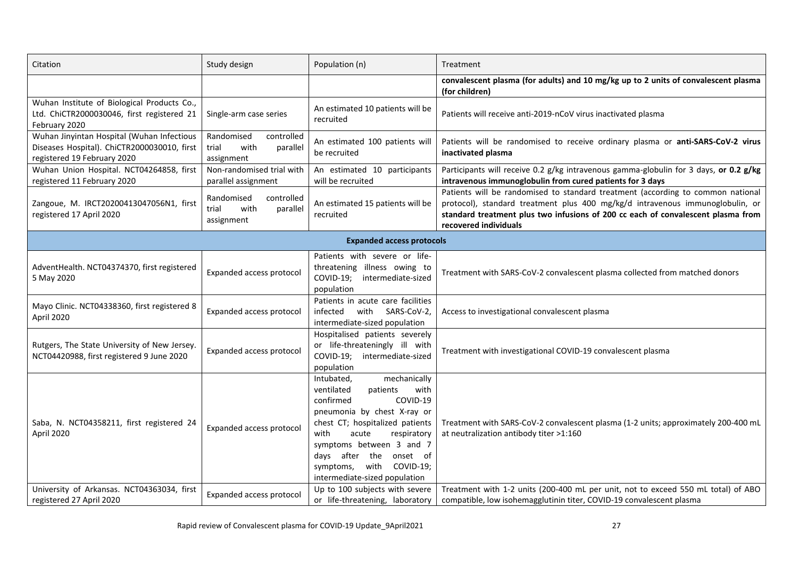| Citation                                                                                                                       | Study design                                                        | Population (n)                                                                                                                                                                                                                                                                                                 | Treatment                                                                                                                                                                                                                                                                     |  |  |
|--------------------------------------------------------------------------------------------------------------------------------|---------------------------------------------------------------------|----------------------------------------------------------------------------------------------------------------------------------------------------------------------------------------------------------------------------------------------------------------------------------------------------------------|-------------------------------------------------------------------------------------------------------------------------------------------------------------------------------------------------------------------------------------------------------------------------------|--|--|
|                                                                                                                                |                                                                     |                                                                                                                                                                                                                                                                                                                | convalescent plasma (for adults) and 10 mg/kg up to 2 units of convalescent plasma<br>(for children)                                                                                                                                                                          |  |  |
| Wuhan Institute of Biological Products Co.,<br>Ltd. ChiCTR2000030046, first registered 21<br>February 2020                     | Single-arm case series                                              | An estimated 10 patients will be<br>recruited                                                                                                                                                                                                                                                                  | Patients will receive anti-2019-nCoV virus inactivated plasma                                                                                                                                                                                                                 |  |  |
| Wuhan Jinyintan Hospital (Wuhan Infectious<br>Diseases Hospital). ChiCTR2000030010, first<br>registered 19 February 2020       | Randomised<br>controlled<br>with<br>trial<br>parallel<br>assignment | An estimated 100 patients will<br>be recruited                                                                                                                                                                                                                                                                 | Patients will be randomised to receive ordinary plasma or anti-SARS-CoV-2 virus<br>inactivated plasma                                                                                                                                                                         |  |  |
| Wuhan Union Hospital. NCT04264858, first<br>registered 11 February 2020                                                        | Non-randomised trial with<br>parallel assignment                    | An estimated 10 participants<br>will be recruited                                                                                                                                                                                                                                                              | Participants will receive 0.2 g/kg intravenous gamma-globulin for 3 days, or 0.2 g/kg<br>intravenous immunoglobulin from cured patients for 3 days                                                                                                                            |  |  |
| Randomised<br>controlled<br>Zangoue, M. IRCT20200413047056N1, first<br>trial<br>with<br>registered 17 April 2020<br>assignment |                                                                     | An estimated 15 patients will be<br>recruited                                                                                                                                                                                                                                                                  | Patients will be randomised to standard treatment (according to common national<br>protocol), standard treatment plus 400 mg/kg/d intravenous immunoglobulin, or<br>standard treatment plus two infusions of 200 cc each of convalescent plasma from<br>recovered individuals |  |  |
| <b>Expanded access protocols</b>                                                                                               |                                                                     |                                                                                                                                                                                                                                                                                                                |                                                                                                                                                                                                                                                                               |  |  |
| AdventHealth. NCT04374370, first registered<br>5 May 2020                                                                      | Expanded access protocol                                            |                                                                                                                                                                                                                                                                                                                | Treatment with SARS-CoV-2 convalescent plasma collected from matched donors                                                                                                                                                                                                   |  |  |
| Mayo Clinic. NCT04338360, first registered 8<br>April 2020                                                                     | Expanded access protocol                                            | Patients in acute care facilities<br>with SARS-CoV-2,<br>infected<br>intermediate-sized population                                                                                                                                                                                                             | Access to investigational convalescent plasma                                                                                                                                                                                                                                 |  |  |
| Rutgers, The State University of New Jersey.<br>NCT04420988, first registered 9 June 2020                                      | Expanded access protocol                                            | Hospitalised patients severely<br>or life-threateningly ill with<br>COVID-19; intermediate-sized<br>population                                                                                                                                                                                                 | Treatment with investigational COVID-19 convalescent plasma                                                                                                                                                                                                                   |  |  |
| Saba, N. NCT04358211, first registered 24<br>Expanded access protocol<br>April 2020                                            |                                                                     | mechanically<br>Intubated,<br>ventilated<br>patients<br>with<br>confirmed<br>COVID-19<br>pneumonia by chest X-ray or<br>chest CT; hospitalized patients<br>with<br>acute<br>respiratory<br>symptoms between 3 and 7<br>days after the onset of<br>symptoms,<br>with COVID-19;<br>intermediate-sized population | Treatment with SARS-CoV-2 convalescent plasma (1-2 units; approximately 200-400 mL<br>at neutralization antibody titer >1:160                                                                                                                                                 |  |  |
| University of Arkansas. NCT04363034, first<br>registered 27 April 2020                                                         | Expanded access protocol                                            | Up to 100 subjects with severe<br>or life-threatening, laboratory                                                                                                                                                                                                                                              | Treatment with 1-2 units (200-400 mL per unit, not to exceed 550 mL total) of ABO<br>compatible, low isohemagglutinin titer, COVID-19 convalescent plasma                                                                                                                     |  |  |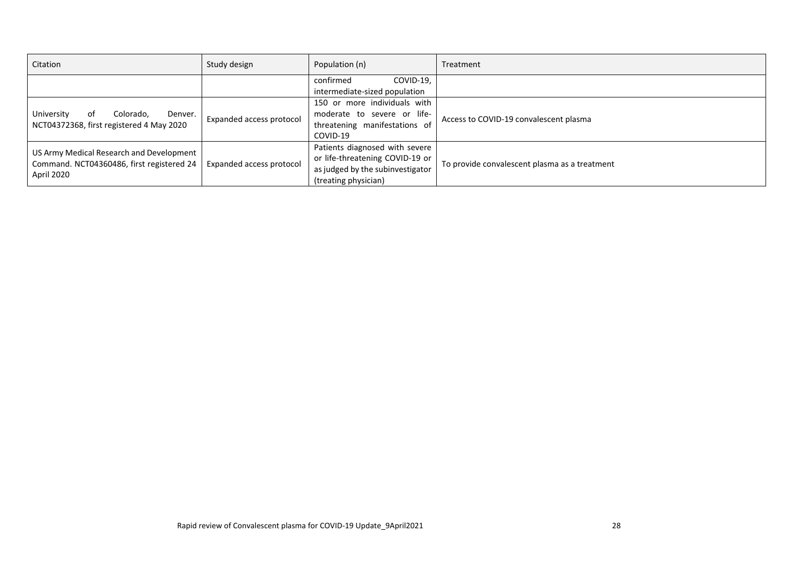| Citation                                  | Study design             | Population (n)                   | Treatment                                     |  |  |
|-------------------------------------------|--------------------------|----------------------------------|-----------------------------------------------|--|--|
|                                           |                          | confirmed<br>COVID-19.           |                                               |  |  |
|                                           |                          | intermediate-sized population    |                                               |  |  |
|                                           |                          | 150 or more individuals with     |                                               |  |  |
| University<br>Colorado,<br>Denver.<br>оf  | Expanded access protocol | moderate to severe or life-      | Access to COVID-19 convalescent plasma        |  |  |
| NCT04372368, first registered 4 May 2020  |                          | threatening manifestations of    |                                               |  |  |
|                                           |                          | COVID-19                         |                                               |  |  |
| US Army Medical Research and Development  | Expanded access protocol | Patients diagnosed with severe   |                                               |  |  |
| Command. NCT04360486, first registered 24 |                          | or life-threatening COVID-19 or  | To provide convalescent plasma as a treatment |  |  |
| April 2020                                |                          | as judged by the subinvestigator |                                               |  |  |
|                                           |                          | (treating physician)             |                                               |  |  |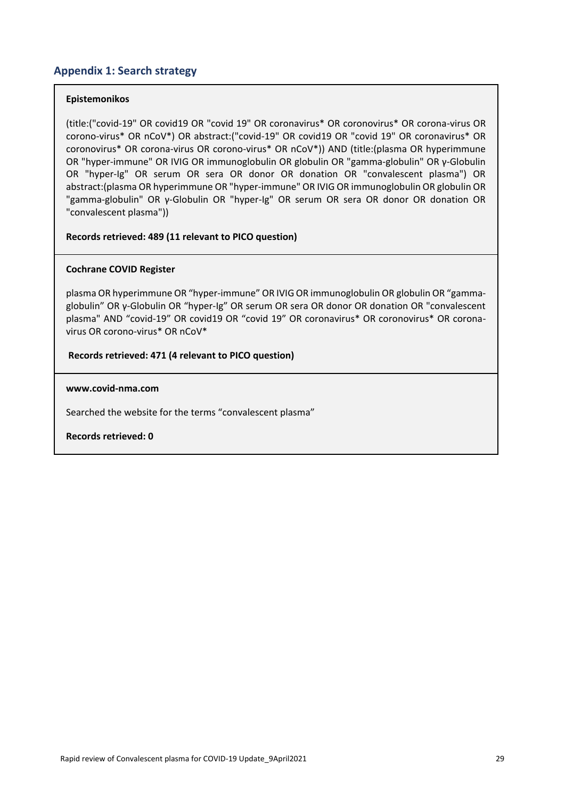# **Appendix 1: Search strategy**

### **Epistemonikos**

(title:("covid-19" OR covid19 OR "covid 19" OR coronavirus\* OR coronovirus\* OR corona-virus OR corono-virus\* OR nCoV\*) OR abstract:("covid-19" OR covid19 OR "covid 19" OR coronavirus\* OR coronovirus\* OR corona-virus OR corono-virus\* OR nCoV\*)) AND (title:(plasma OR hyperimmune OR "hyper‐immune" OR IVIG OR immunoglobulin OR globulin OR "gamma‐globulin" OR γ‐Globulin OR "hyper‐Ig" OR serum OR sera OR donor OR donation OR "convalescent plasma") OR abstract:(plasma OR hyperimmune OR "hyper‐immune" OR IVIG OR immunoglobulin OR globulin OR "gamma‐globulin" OR γ‐Globulin OR "hyper‐Ig" OR serum OR sera OR donor OR donation OR "convalescent plasma"))

### **Records retrieved: 489 (11 relevant to PICO question)**

### **Cochrane COVID Register**

plasma OR hyperimmune OR "hyper‐immune" OR IVIG OR immunoglobulin OR globulin OR "gamma‐ globulin" OR γ‐Globulin OR "hyper‐Ig" OR serum OR sera OR donor OR donation OR "convalescent plasma" AND "covid-19" OR covid19 OR "covid 19" OR coronavirus\* OR coronovirus\* OR coronavirus OR corono-virus\* OR nCoV\*

### **Records retrieved: 471 (4 relevant to PICO question)**

### **www.covid-nma.com**

Searched the website for the terms "convalescent plasma"

**Records retrieved: 0**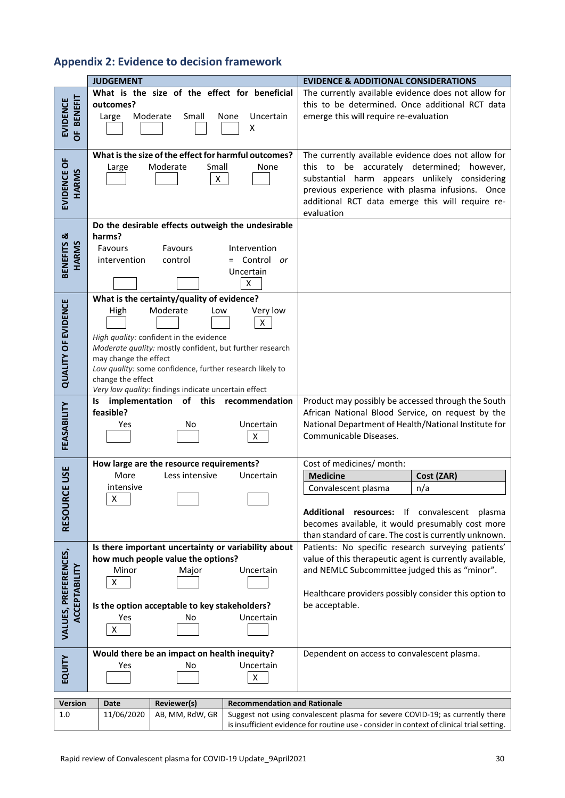# **Appendix 2: Evidence to decision framework**

|                                        | <b>JUDGEMENT</b>                                                                                                                                                                                                                                                                                                                                                | <b>EVIDENCE &amp; ADDITIONAL CONSIDERATIONS</b>                                                                                                                                                                                                                            |
|----------------------------------------|-----------------------------------------------------------------------------------------------------------------------------------------------------------------------------------------------------------------------------------------------------------------------------------------------------------------------------------------------------------------|----------------------------------------------------------------------------------------------------------------------------------------------------------------------------------------------------------------------------------------------------------------------------|
| <b>BENEFIT</b><br><b>EVIDENCE</b><br>ŏ | What is the size of the effect for beneficial<br>outcomes?<br>Moderate<br>Small<br>Uncertain<br>Large<br>None<br>Χ                                                                                                                                                                                                                                              | The currently available evidence does not allow for<br>this to be determined. Once additional RCT data<br>emerge this will require re-evaluation                                                                                                                           |
| EVIDENCE OF<br>HARMS                   | What is the size of the effect for harmful outcomes?<br>Moderate<br>Small<br>None<br>Large<br>$\mathsf{X}^-$                                                                                                                                                                                                                                                    | The currently available evidence does not allow for<br>this to be accurately determined;<br>however,<br>substantial harm appears unlikely considering<br>previous experience with plasma infusions. Once<br>additional RCT data emerge this will require re-<br>evaluation |
| BENEFITS &<br>HARMS                    | Do the desirable effects outweigh the undesirable<br>harms?<br>Favours<br>Favours<br>Intervention<br>= Control or<br>intervention<br>control<br>Uncertain<br>X                                                                                                                                                                                                  |                                                                                                                                                                                                                                                                            |
| <b>QUALITY OF EVIDENCE</b>             | What is the certainty/quality of evidence?<br>Moderate<br>Very low<br>High<br>Low<br>X<br>High quality: confident in the evidence<br>Moderate quality: mostly confident, but further research<br>may change the effect<br>Low quality: some confidence, further research likely to<br>change the effect<br>Very low quality: findings indicate uncertain effect |                                                                                                                                                                                                                                                                            |
| FEASABILITY                            | of this<br>implementation<br>recommendation<br>ls<br>feasible?<br>Uncertain<br>Yes<br>No<br>Χ                                                                                                                                                                                                                                                                   | Product may possibly be accessed through the South<br>African National Blood Service, on request by the<br>National Department of Health/National Institute for<br>Communicable Diseases.                                                                                  |
| RCE USE<br><b>RESOU</b>                | How large are the resource requirements?<br>More<br>Less intensive<br>Uncertain<br>intensive<br>$\pmb{\times}$                                                                                                                                                                                                                                                  | Cost of medicines/ month:<br><b>Medicine</b><br>Cost (ZAR)<br>Convalescent plasma<br>n/a<br>Additional resources: If convalescent<br>plasma<br>becomes available, it would presumably cost more<br>than standard of care. The cost is currently unknown.                   |
| VALUES, PREFERENCES,<br>ACCEPTABILITY  | Is there important uncertainty or variability about<br>how much people value the options?<br>Minor<br>Uncertain<br>Major<br>$\pmb{\mathsf{X}}$<br>Is the option acceptable to key stakeholders?<br>Uncertain<br>Yes<br>No<br>X                                                                                                                                  | Patients: No specific research surveying patients'<br>value of this therapeutic agent is currently available,<br>and NEMLC Subcommittee judged this as "minor".<br>Healthcare providers possibly consider this option to<br>be acceptable.                                 |
| EQUITY                                 | Would there be an impact on health inequity?<br>Uncertain<br>Yes<br>No<br>X                                                                                                                                                                                                                                                                                     | Dependent on access to convalescent plasma.                                                                                                                                                                                                                                |
| <b>Version</b>                         | <b>Recommendation and Rationale</b><br>Reviewer(s)<br>Date                                                                                                                                                                                                                                                                                                      |                                                                                                                                                                                                                                                                            |
| 1.0                                    | 11/06/2020<br>AB, MM, RdW, GR                                                                                                                                                                                                                                                                                                                                   | Suggest not using convalescent plasma for severe COVID-19; as currently there<br>is insufficient evidence for routine use - consider in context of clinical trial setting.                                                                                                 |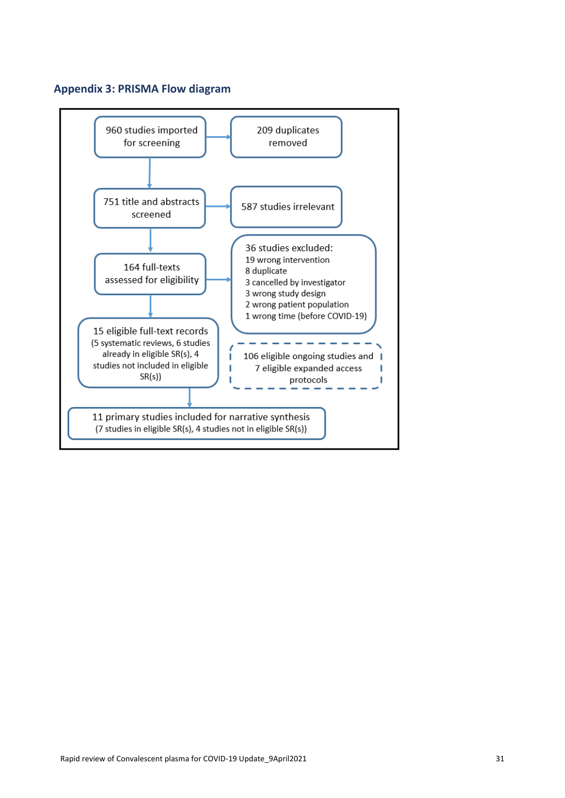# **Appendix 3: PRISMA Flow diagram**

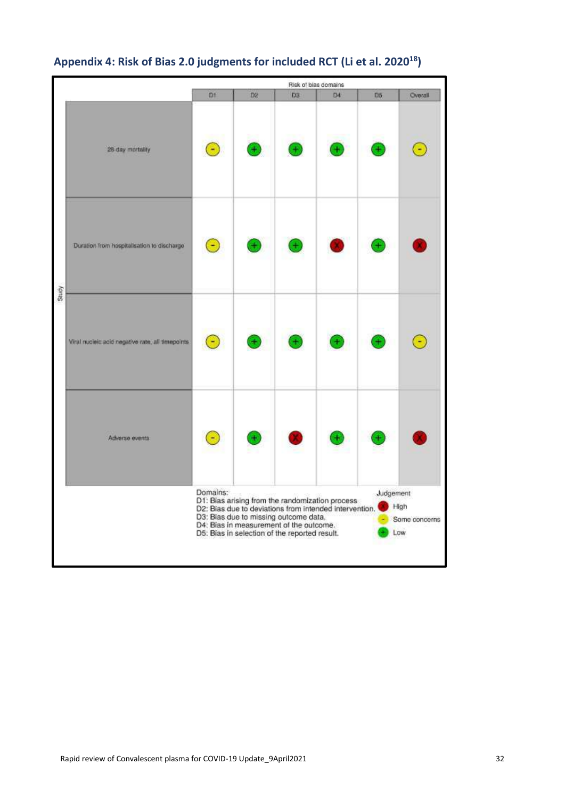

# **Appendix 4: Risk of Bias 2.0 judgments for included RCT (Li et al. 202018)**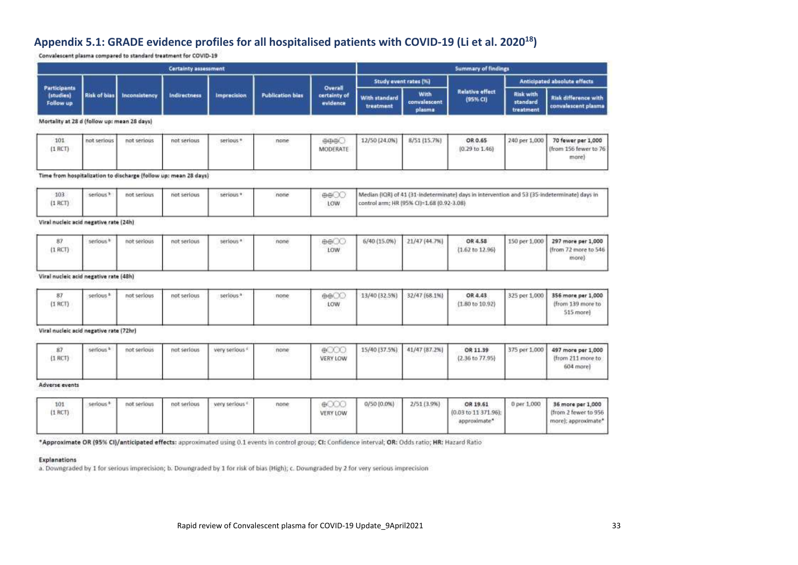# **Appendix 5.1: GRADE evidence profiles for all hospitalised patients with COVID-19 (Li et al. 202018)**

Convalescent plasma compared to standard treatment for COVID-19

|                                               | <b>Certainty assessment</b> |                        |                                                                  |                    | <b>Summary of findings</b> |                                     |                            |                                            |                                      |                                           |                                                                                              |
|-----------------------------------------------|-----------------------------|------------------------|------------------------------------------------------------------|--------------------|----------------------------|-------------------------------------|----------------------------|--------------------------------------------|--------------------------------------|-------------------------------------------|----------------------------------------------------------------------------------------------|
|                                               |                             |                        |                                                                  |                    |                            | Overall<br>certainty of<br>evidence | Study event rates (%)      |                                            |                                      | <b>Anticipated absolute effects</b>       |                                                                                              |
| <b>Participants</b><br>(studies)<br>Follow up | <b>Risk of bias</b>         | Inconsistency          | Indirectness                                                     | <b>Imprecision</b> | <b>Publication bias</b>    |                                     | With standard<br>treatment | <b>With</b><br>convalescent<br>plasma      | <b>Relative effect</b><br>(95% CI)   | <b>Risk with</b><br>standard<br>treatment | <b>Risk difference with</b><br>convalencent plasma                                           |
| Mortality at 28 d (follow up: mean 28 days)   |                             |                        |                                                                  |                    |                            |                                     |                            |                                            |                                      |                                           |                                                                                              |
| 101<br>$(1$ RCT)                              | not serious                 | not serious<br>115222V | not serious                                                      | serious *          | none                       | 中中田<br>MODERATE                     | 12/50 (24.0%)              | 8/51 (15.7%)                               | OR 0.65<br>$(0.29 \text{ to } 1.46)$ | 240 per 1,000                             | 70 fewer per 1,000<br>Ifrom 156 fewer to 76<br>more)<br>-avviata                             |
|                                               |                             |                        | Time from hospitalization to discharge (follow up: mean 28 days) |                    |                            |                                     |                            |                                            |                                      |                                           |                                                                                              |
| 103.<br>$(1$ RCT)                             | serious <sup>+</sup>        | not serious            | not serious                                                      | serious *          | none                       | 000<br>LOW.                         |                            | control arm: HR (95% CI)=1.68 (0.92-3.08). |                                      |                                           | Median (IQR) of 41 (31-indeterminate) days in intervention and 53 (35-indeterminate) days in |

#### Viral nucleic acid negative rate (24h)

| $(1$ RCT) | erious <sup>t</sup> | not serious | not serious | serious <sup>a</sup> | none<br>--- | 000<br><b>LOW</b> | 6/40 (15.0%) 21/47 (44.7%) | OR 4.58<br>(1.67 to 12.96) | 150 per 1,000 297 more per 1,000<br>from 72 more to 546<br>more |
|-----------|---------------------|-------------|-------------|----------------------|-------------|-------------------|----------------------------|----------------------------|-----------------------------------------------------------------|
|           |                     |             |             |                      |             |                   |                            |                            |                                                                 |

#### Viral nucleic acid negative rate (48h)

| $(1$ RCT)<br>and the state of the state | serious <sup>1</sup> | not serious | not serious | serious <sup>3</sup><br>---------- | none | 000<br>LOW<br><b>Committee</b> | 13/40 (32.5%) | 32/47 (68.1%) | OR 4.43<br>$(1.80 \text{ to } 10.92)$ |  | 325 per 1,000 356 more per 1,000<br>(from 139 more to<br>$515$ more |
|-----------------------------------------|----------------------|-------------|-------------|------------------------------------|------|--------------------------------|---------------|---------------|---------------------------------------|--|---------------------------------------------------------------------|
|-----------------------------------------|----------------------|-------------|-------------|------------------------------------|------|--------------------------------|---------------|---------------|---------------------------------------|--|---------------------------------------------------------------------|

#### Viral nucleic acid negative rate (72hr)

| not serious<br>not serious<br>very serious s<br>serious <sup>1</sup><br>none<br>- HELL<br>333 T. T. O<br>$(1$ RCT)<br>VERY LOW | 15/40 (37.5%) 41/47 (87.2%) | OR 11.39<br>(2.36 to 77.95) | 375 per 1,000 497 more per 1,000<br>(from 211 more to<br>604 more) |
|--------------------------------------------------------------------------------------------------------------------------------|-----------------------------|-----------------------------|--------------------------------------------------------------------|
|--------------------------------------------------------------------------------------------------------------------------------|-----------------------------|-----------------------------|--------------------------------------------------------------------|

#### Adverse events

| 101<br>$(1$ RCT).<br>-50.000 | serious | not serious | not serious | very serious. <sup>17</sup> | none | $\oplus$<br>VERY LOW<br>on the process of | 0/50 (0.0%) | 2/51 (3.9%) | OR 19.61<br>(0.03 to 11 371.96);<br>approximate* | 0 per 1,000 | 36 more per 1,000<br>(from 2 fewer to 956<br>more); approximate* |
|------------------------------|---------|-------------|-------------|-----------------------------|------|-------------------------------------------|-------------|-------------|--------------------------------------------------|-------------|------------------------------------------------------------------|
|------------------------------|---------|-------------|-------------|-----------------------------|------|-------------------------------------------|-------------|-------------|--------------------------------------------------|-------------|------------------------------------------------------------------|

\*Approximate OR (95% CI)/anticipated effects: approximated using 0.1 events in control group; CI: Confidence interval; OR: Odds ratio; HR: Hazard Ratio

#### Explanations

a. Downgraded by 1 for serious imprecision; b. Downgraded by 1 for risk of bias (High); c. Downgraded by 2 for very serious imprecision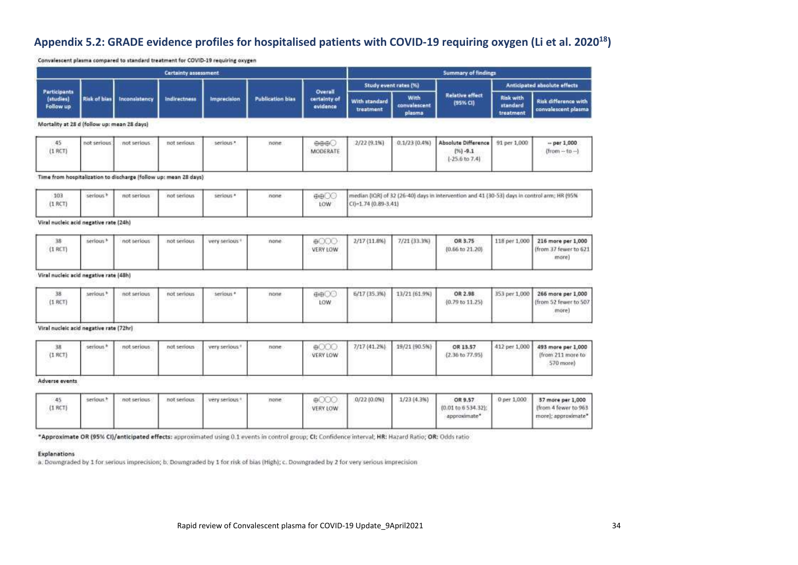# **Appendix 5.2: GRADE evidence profiles for hospitalised patients with COVID-19 requiring oxygen (Li et al. 2020<sup>18</sup>)**

Convalescent plasma compared to standard treatment for COVID-19 requiring oxygen

|                                             |                     |               | Certainty assessment |                    |                         |                                     | Summary of findings        |                                       |                                            |                                           |                                             |  |
|---------------------------------------------|---------------------|---------------|----------------------|--------------------|-------------------------|-------------------------------------|----------------------------|---------------------------------------|--------------------------------------------|-------------------------------------------|---------------------------------------------|--|
|                                             |                     |               |                      |                    |                         |                                     |                            | Study event rates (%)                 |                                            | Anticipated absolute effects              |                                             |  |
| Participants<br>(studies)<br>Follow up      | <b>Risk of bias</b> | Inconsistency | Indirectness         | <b>Imprecision</b> | <b>Publication bias</b> | Overall<br>certainty of<br>evidence | With standard<br>treatment | <b>With</b><br>convalescent<br>plasma | <b>Relative effect</b><br>(95% CI)         | <b>Risk with</b><br>standard<br>treatment | Risk difference with<br>convalescent plasma |  |
| Mortality at 28 d (follow up: mean 28 days) |                     |               |                      |                    |                         |                                     |                            |                                       |                                            |                                           |                                             |  |
| 45<br>$(1$ RCT)                             | not serious         | not serious   | not serious          | serious."          | none                    | ⊕⊕⊕€<br>MODERATE                    | $2/22$ $(9.1%$             | 0.1/23(0.4%                           | <b>Absolute Difference</b><br>$[96] - 9.1$ | 91 per 1,000                              | $-$ per 1,000<br>$(from - to -)$            |  |

 $[-25.6 \text{ to } 7.4]$ 

Time from hospitalization to discharge (follow up: mean 28 days)

| 103<br>not serious<br>⊕⊕∟<br>none<br>serious <sup>b</sup><br>serious. <sup>*</sup><br>not serious<br>(1 RCT)<br><b>LOW</b><br>$-1.74(0.89 - 3.41)$<br>1CB <sub>m</sub><br>. | median (IQR) of 32 (26-40) days in intervention and 41 (30-53) days in control arm; HR (95% |
|-----------------------------------------------------------------------------------------------------------------------------------------------------------------------------|---------------------------------------------------------------------------------------------|
|-----------------------------------------------------------------------------------------------------------------------------------------------------------------------------|---------------------------------------------------------------------------------------------|

#### Viral nucleic acid negative rate (24b)

| $(1$ RCT] | serious <sup>b</sup> | not serious | not serious | very serious. | none | ⊕OO.<br>VERY LOW | $2/17$ $(11.8\%)$ | 7/21(33.3%) | OR 3.75<br>${0.66 \text{ to } 21.20}$ | 118 per 1,000 216 more per 1,000<br>(from 37 fewer to 621<br>more) |
|-----------|----------------------|-------------|-------------|---------------|------|------------------|-------------------|-------------|---------------------------------------|--------------------------------------------------------------------|
|           |                      |             |             |               |      |                  |                   |             |                                       |                                                                    |

#### Viral nucleic acid negative rate (48h)

| $(1$ $BCT)$ | serious <sup>»</sup> | not serious | not serious | serious. <sup>*</sup> | none | <b>OBOX</b><br>LOW. | 6/17 (35.3%) 13/21 (61.9%) | OR 2.98<br>$(0.79 \text{ to } 11.25)$ | 353 per 1,000 266 more per 1,000<br>(from 52 fewer to 507)<br>more) |
|-------------|----------------------|-------------|-------------|-----------------------|------|---------------------|----------------------------|---------------------------------------|---------------------------------------------------------------------|
|             |                      |             |             |                       |      |                     |                            |                                       |                                                                     |

#### Viral nucleic acid negative rate (72hr)

| (1 RCT            | serious. <sup>8</sup> | not serious | not serious | very serious." | none | VERY LOW | 7/17 (41.2%) 19/21 (90.5%) | OR 13.57<br>$[2.36 \text{ to } 77.95]$ | 412 per 1,000 493 more per 1,000<br>Ifrom 211 more to<br>570 more |
|-------------------|-----------------------|-------------|-------------|----------------|------|----------|----------------------------|----------------------------------------|-------------------------------------------------------------------|
| Advance available |                       |             |             |                |      |          |                            |                                        |                                                                   |

Adverse events

| 45<br>'I RCT<br>ハント・ショウ・コンド | serious." | not serious | not serious | very serious <sup>1</sup> | none | <b>WOOD</b><br>VERY LOW<br>and the control of the property and | $0/22(0.0\%)$ | 1/23(4.3%) | OR 9.57<br>(0.01 to 6 534.32):<br>approximate" |  | 0 per 1,000 37 more per 1,000<br>[from 4 fewer to 963<br>more); approximate* |
|-----------------------------|-----------|-------------|-------------|---------------------------|------|----------------------------------------------------------------|---------------|------------|------------------------------------------------|--|------------------------------------------------------------------------------|
|-----------------------------|-----------|-------------|-------------|---------------------------|------|----------------------------------------------------------------|---------------|------------|------------------------------------------------|--|------------------------------------------------------------------------------|

\*Approximate OR (95% CI)/anticipated effects: approximated using 0.1 events in control group; CI: Confidence interval; HR: Hazard Ratio; OR: Odds ratio

#### Explanations

a. Downgraded by 1 for serious imprecision; b. Downgraded by 1 for risk of bias (High); c. Downgraded by 2 for very serious imprecision